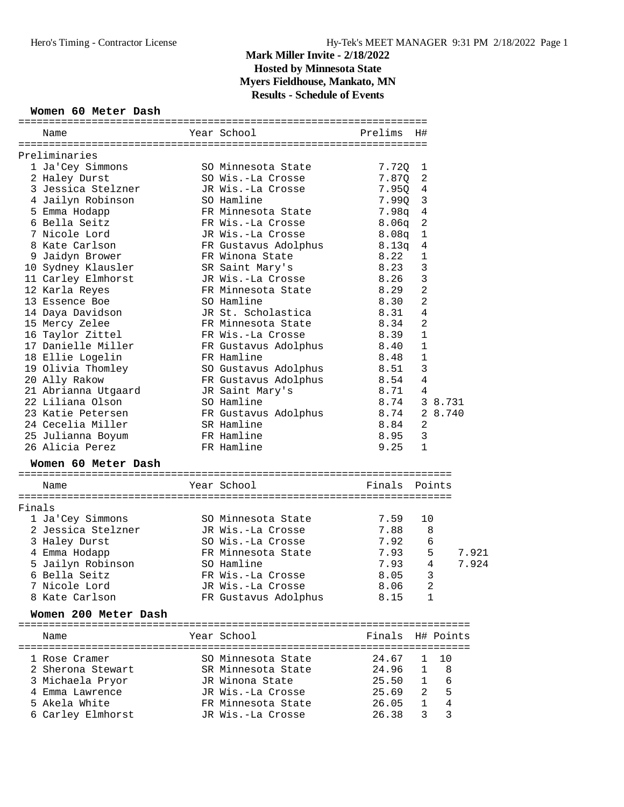#### **Women 60 Meter Dash**

|        | Name                                                     | Year School Theory                                              | Prelims           | - H#                    |       |
|--------|----------------------------------------------------------|-----------------------------------------------------------------|-------------------|-------------------------|-------|
|        |                                                          |                                                                 |                   |                         |       |
|        | Preliminaries                                            |                                                                 |                   |                         |       |
|        | 1 Ja'Cey Simmons                                         | SO Minnesota State                                              | 7.72Q 1           |                         |       |
|        | 2 Haley Durst                                            | SO Wis.-La Crosse                                               | 7.87Q             | $\overline{a}$          |       |
|        | 3 Jessica Stelzner                                       | JR Wis.-La Crosse                                               | $7.95Q$ 4         |                         |       |
|        | 4 Jailyn Robinson                                        | SO Hamline                                                      | 7.990 3           |                         |       |
|        | 5 Emma Hodapp                                            | FR Minnesota State                                              | $7.98q$ 4         |                         |       |
|        | 6 Bella Seitz                                            | FR Wis.-La Crosse                                               | 8.06q             | $\overline{c}$          |       |
|        | 7 Nicole Lord<br>7 Nicole<br>8 Kate Carlson<br>11 Drower | JR Wis.-La Crosse                                               | 8.08q             | $\mathbf{1}$            |       |
|        |                                                          | FR Gustavus Adolphus<br>FR Winona State                         | $8.13q$<br>$8.22$ | $\overline{4}$          |       |
|        |                                                          |                                                                 |                   | $\mathbf{1}$            |       |
|        | 10 Sydney Klausler SR Saint Mary's                       |                                                                 | 8.23              | 3                       |       |
|        | 11 Carley Elmhorst                                       | JR Wis.-La Crosse 8.26                                          |                   | $\mathbf{3}$            |       |
|        | 12 Karla Reyes                                           | FR Minnesota State 8.29                                         |                   | $\overline{c}$          |       |
|        | 13 Essence Boe                                           | SO Hamline                                                      | 8.30              | $\overline{2}$          |       |
|        | 14 Daya Davidson                                         | JR St. Scholastica                                              | 8.31              | $\sqrt{4}$              |       |
|        | 15 Mercy Zelee                                           | FR Minnesota State                                              | 8.34              | $\overline{a}$          |       |
|        | 16 Taylor Zittel                                         | FR Wis.-La Crosse                                               | 8.39              | $\mathbf{1}$            |       |
|        | 17 Danielle Miller                                       | FR Gustavus Adolphus 8.40                                       |                   | $\mathbf 1$             |       |
|        | 18 Ellie Logelin                                         | FR Hamline                                                      | 8.48              | 1                       |       |
|        | 19 Olivia Thomley                                        | SO Gustavus Adolphus                                            | 8.51              | $\mathbf{3}$            |       |
|        | 20 Ally Rakow                                            | so Gustavus Adolpnus<br>FR Gustavus Adolphus<br>JR Saint Mary's | 8.54              | $\overline{4}$          |       |
|        | 21 Abrianna Utgaard                                      | JR Saint Mary's                                                 | 8.71              | 4                       |       |
|        | 22 Liliana Olson                                         | SO Hamline                                                      | 8.74              | 3 8.731                 |       |
|        | 23 Katie Petersen FR Gustavus Adolphus 8.74              |                                                                 |                   | 2 8.740                 |       |
|        | 24 Cecelia Miller                                        | SR Hamline<br>8.84                                              |                   | 2                       |       |
|        | 25 Julianna Boyum                                        | FR Hamline                                                      | 8.95              | $\overline{3}$          |       |
|        | 26 Alicia Perez                                          | FR Hamline                                                      | 9.25              | $\mathbf{1}$            |       |
|        | Women 60 Meter Dash                                      |                                                                 |                   |                         |       |
|        | Name                                                     | Year School                                                     | Finals Points     |                         |       |
| Finals |                                                          |                                                                 |                   |                         |       |
|        | 1 Ja'Cey Simmons                                         | SO Minnesota State                                              | 7.59              | 10                      |       |
|        | 2 Jessica Stelzner                                       | JR Wis.-La Crosse                                               | 7.88 8            |                         |       |
|        | 3 Haley Durst                                            | SO Wis.-La Crosse                                               | 7.92              | 6                       |       |
|        | 4 Emma Hodapp                                            | FR Minnesota State                                              | 7.93              | 5                       | 7.921 |
|        | 5 Jailyn Robinson                                        | SO Hamline                                                      | 7.93              | 4                       | 7.924 |
|        | 6 Bella Seitz                                            | FR Wis.-La Crosse                                               | 8.05              | $\overline{\mathbf{3}}$ |       |
|        | 7 Nicole Lord                                            | JR Wis.-La Crosse                                               | 8.06              | 2                       |       |
|        | 8 Kate Carlson                                           | FR Gustavus Adolphus                                            | 8.15              | 1                       |       |
|        | Women 200 Meter Dash                                     |                                                                 |                   |                         |       |
|        |                                                          |                                                                 |                   |                         |       |
|        | Name                                                     | Year School                                                     | Finals H# Points  |                         |       |
|        |                                                          |                                                                 |                   |                         |       |
|        | 1 Rose Cramer                                            | SO Minnesota State                                              | 24.67             | $\mathbf{1}$            | 10    |
|        | 2 Sherona Stewart                                        | SR Minnesota State                                              | 24.96             | $1 \quad$               | 8     |
|        | 3 Michaela Pryor                                         | JR Winona State                                                 | 25.50             | 1                       | 6     |
|        | 4 Emma Lawrence                                          | JR Wis.-La Crosse                                               | 25.69             | $\mathbf{2}$            | 5     |
|        | 5 Akela White                                            | FR Minnesota State                                              | 26.05             | 1                       | 4     |
|        | 6 Carley Elmhorst                                        | JR Wis.-La Crosse                                               | 26.38             | 3                       | 3     |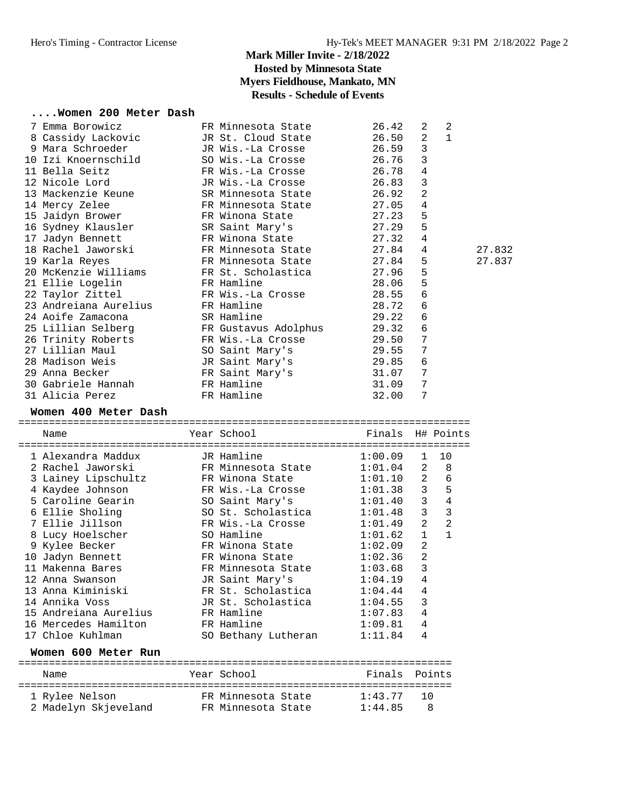#### **....Women 200 Meter Dash**

| JR St. Cloud State<br>26.50<br>2<br>8 Cassidy Lackovic<br>9 Mara Schroeder<br>3<br>JR Wis.-La Crosse<br>26.59<br>10 Izi Knoernschild<br>SO Wis.-La Crosse<br>26.76<br>3<br>4<br>11 Bella Seitz<br>26.78<br>FR Wis.-La Crosse<br>3<br>12 Nicole Lord<br>26.83<br>JR Wis.-La Crosse<br>2<br>13 Mackenzie Keune<br>SR Minnesota State<br>26.92<br>14 Mercy Zelee<br>FR Minnesota State<br>27.05<br>4<br>5<br>15 Jaidyn Brower<br>FR Winona State<br>27.23<br>5<br>27.29<br>16 Sydney Klausler<br>SR Saint Mary's<br>27.32<br>4<br>17 Jadyn Bennett<br>FR Winona State<br>18 Rachel Jaworski<br>FR Minnesota State<br>27.84<br>4<br>5<br>27.84<br>19 Karla Reyes<br>FR Minnesota State<br>20 McKenzie Williams<br>FR St. Scholastica<br>27.96<br>5<br>5<br>FR Hamline<br>21 Ellie Logelin<br>28.06<br>6<br>FR Wis.-La Crosse<br>28.55<br>22 Taylor Zittel<br>23 Andreiana Aurelius<br>FR Hamline<br>28.72<br>6<br>24 Aoife Zamacona<br>SR Hamline<br>29.22<br>6<br>25 Lillian Selberg<br>29.32<br>6<br>FR Gustavus Adolphus<br>29.50<br>7<br>26 Trinity Roberts<br>FR Wis.-La Crosse<br>27 Lillian Maul<br>7<br>SO Saint Mary's<br>29.55<br>28 Madison Weis<br>29.85<br>6<br>JR Saint Mary's<br>29 Anna Becker<br>31.07<br>7<br>FR Saint Mary's<br>30 Gabriele Hannah<br>FR Hamline<br>31.09<br>7<br>31 Alicia Perez<br>FR Hamline<br>32.00<br>7<br>Women 400 Meter Dash<br>Year School<br>Finals H# Points<br>Name<br>1 Alexandra Maddux<br>JR Hamline<br>1:00.09<br>1<br>2 Rachel Jaworski<br>1:01.04<br>FR Minnesota State<br>2<br>2<br>3 Lainey Lipschultz<br>FR Winona State<br>1:01.10<br>3<br>1:01.38<br>4 Kaydee Johnson<br>FR Wis.-La Crosse<br>3<br>5 Caroline Gearin<br>SO Saint Mary's<br>1:01.40<br>3<br>6 Ellie Sholing<br>SO St. Scholastica<br>1:01.48<br>7 Ellie Jillson<br>2<br>FR Wis.-La Crosse<br>1:01.49<br>SO Hamline<br>1<br>8 Lucy Hoelscher<br>1:01.62<br>2<br>9 Kylee Becker<br>FR Winona State<br>1:02.09<br>$\overline{2}$<br>10 Jadyn Bennett<br>FR Winona State<br>1:02.36<br>3<br>FR Minnesota State<br>1:03.68<br>11 Makenna Bares<br>$1:04.19$ 4<br>12 Anna Swanson<br>JR Saint Mary's<br>13 Anna Kiminiski<br>FR St. Scholastica<br>1:04.44<br>4<br>14 Annika Voss<br>JR St. Scholastica<br>1:04.55<br>3<br>15 Andreiana Aurelius<br>FR Hamline<br>1:07.83<br>4<br>16 Mercedes Hamilton<br>FR Hamline<br>1:09.81<br>4<br>17 Chloe Kuhlman<br>SO Bethany Lutheran<br>1:11.84<br>4<br>Women 600 Meter Run<br>Year School | 7 Emma Borowicz | FR Minnesota State | 26.42  | 2<br>2         |        |
|-------------------------------------------------------------------------------------------------------------------------------------------------------------------------------------------------------------------------------------------------------------------------------------------------------------------------------------------------------------------------------------------------------------------------------------------------------------------------------------------------------------------------------------------------------------------------------------------------------------------------------------------------------------------------------------------------------------------------------------------------------------------------------------------------------------------------------------------------------------------------------------------------------------------------------------------------------------------------------------------------------------------------------------------------------------------------------------------------------------------------------------------------------------------------------------------------------------------------------------------------------------------------------------------------------------------------------------------------------------------------------------------------------------------------------------------------------------------------------------------------------------------------------------------------------------------------------------------------------------------------------------------------------------------------------------------------------------------------------------------------------------------------------------------------------------------------------------------------------------------------------------------------------------------------------------------------------------------------------------------------------------------------------------------------------------------------------------------------------------------------------------------------------------------------------------------------------------------------------------------------------------------------------------------------------------------------------------------------------------------------------------------------------------------------------------------------------|-----------------|--------------------|--------|----------------|--------|
|                                                                                                                                                                                                                                                                                                                                                                                                                                                                                                                                                                                                                                                                                                                                                                                                                                                                                                                                                                                                                                                                                                                                                                                                                                                                                                                                                                                                                                                                                                                                                                                                                                                                                                                                                                                                                                                                                                                                                                                                                                                                                                                                                                                                                                                                                                                                                                                                                                                       |                 |                    |        | $\mathbf{1}$   |        |
|                                                                                                                                                                                                                                                                                                                                                                                                                                                                                                                                                                                                                                                                                                                                                                                                                                                                                                                                                                                                                                                                                                                                                                                                                                                                                                                                                                                                                                                                                                                                                                                                                                                                                                                                                                                                                                                                                                                                                                                                                                                                                                                                                                                                                                                                                                                                                                                                                                                       |                 |                    |        |                |        |
|                                                                                                                                                                                                                                                                                                                                                                                                                                                                                                                                                                                                                                                                                                                                                                                                                                                                                                                                                                                                                                                                                                                                                                                                                                                                                                                                                                                                                                                                                                                                                                                                                                                                                                                                                                                                                                                                                                                                                                                                                                                                                                                                                                                                                                                                                                                                                                                                                                                       |                 |                    |        |                |        |
|                                                                                                                                                                                                                                                                                                                                                                                                                                                                                                                                                                                                                                                                                                                                                                                                                                                                                                                                                                                                                                                                                                                                                                                                                                                                                                                                                                                                                                                                                                                                                                                                                                                                                                                                                                                                                                                                                                                                                                                                                                                                                                                                                                                                                                                                                                                                                                                                                                                       |                 |                    |        |                |        |
|                                                                                                                                                                                                                                                                                                                                                                                                                                                                                                                                                                                                                                                                                                                                                                                                                                                                                                                                                                                                                                                                                                                                                                                                                                                                                                                                                                                                                                                                                                                                                                                                                                                                                                                                                                                                                                                                                                                                                                                                                                                                                                                                                                                                                                                                                                                                                                                                                                                       |                 |                    |        |                |        |
|                                                                                                                                                                                                                                                                                                                                                                                                                                                                                                                                                                                                                                                                                                                                                                                                                                                                                                                                                                                                                                                                                                                                                                                                                                                                                                                                                                                                                                                                                                                                                                                                                                                                                                                                                                                                                                                                                                                                                                                                                                                                                                                                                                                                                                                                                                                                                                                                                                                       |                 |                    |        |                |        |
|                                                                                                                                                                                                                                                                                                                                                                                                                                                                                                                                                                                                                                                                                                                                                                                                                                                                                                                                                                                                                                                                                                                                                                                                                                                                                                                                                                                                                                                                                                                                                                                                                                                                                                                                                                                                                                                                                                                                                                                                                                                                                                                                                                                                                                                                                                                                                                                                                                                       |                 |                    |        |                |        |
|                                                                                                                                                                                                                                                                                                                                                                                                                                                                                                                                                                                                                                                                                                                                                                                                                                                                                                                                                                                                                                                                                                                                                                                                                                                                                                                                                                                                                                                                                                                                                                                                                                                                                                                                                                                                                                                                                                                                                                                                                                                                                                                                                                                                                                                                                                                                                                                                                                                       |                 |                    |        |                |        |
|                                                                                                                                                                                                                                                                                                                                                                                                                                                                                                                                                                                                                                                                                                                                                                                                                                                                                                                                                                                                                                                                                                                                                                                                                                                                                                                                                                                                                                                                                                                                                                                                                                                                                                                                                                                                                                                                                                                                                                                                                                                                                                                                                                                                                                                                                                                                                                                                                                                       |                 |                    |        |                |        |
|                                                                                                                                                                                                                                                                                                                                                                                                                                                                                                                                                                                                                                                                                                                                                                                                                                                                                                                                                                                                                                                                                                                                                                                                                                                                                                                                                                                                                                                                                                                                                                                                                                                                                                                                                                                                                                                                                                                                                                                                                                                                                                                                                                                                                                                                                                                                                                                                                                                       |                 |                    |        |                |        |
|                                                                                                                                                                                                                                                                                                                                                                                                                                                                                                                                                                                                                                                                                                                                                                                                                                                                                                                                                                                                                                                                                                                                                                                                                                                                                                                                                                                                                                                                                                                                                                                                                                                                                                                                                                                                                                                                                                                                                                                                                                                                                                                                                                                                                                                                                                                                                                                                                                                       |                 |                    |        |                | 27.832 |
|                                                                                                                                                                                                                                                                                                                                                                                                                                                                                                                                                                                                                                                                                                                                                                                                                                                                                                                                                                                                                                                                                                                                                                                                                                                                                                                                                                                                                                                                                                                                                                                                                                                                                                                                                                                                                                                                                                                                                                                                                                                                                                                                                                                                                                                                                                                                                                                                                                                       |                 |                    |        |                | 27.837 |
|                                                                                                                                                                                                                                                                                                                                                                                                                                                                                                                                                                                                                                                                                                                                                                                                                                                                                                                                                                                                                                                                                                                                                                                                                                                                                                                                                                                                                                                                                                                                                                                                                                                                                                                                                                                                                                                                                                                                                                                                                                                                                                                                                                                                                                                                                                                                                                                                                                                       |                 |                    |        |                |        |
|                                                                                                                                                                                                                                                                                                                                                                                                                                                                                                                                                                                                                                                                                                                                                                                                                                                                                                                                                                                                                                                                                                                                                                                                                                                                                                                                                                                                                                                                                                                                                                                                                                                                                                                                                                                                                                                                                                                                                                                                                                                                                                                                                                                                                                                                                                                                                                                                                                                       |                 |                    |        |                |        |
|                                                                                                                                                                                                                                                                                                                                                                                                                                                                                                                                                                                                                                                                                                                                                                                                                                                                                                                                                                                                                                                                                                                                                                                                                                                                                                                                                                                                                                                                                                                                                                                                                                                                                                                                                                                                                                                                                                                                                                                                                                                                                                                                                                                                                                                                                                                                                                                                                                                       |                 |                    |        |                |        |
|                                                                                                                                                                                                                                                                                                                                                                                                                                                                                                                                                                                                                                                                                                                                                                                                                                                                                                                                                                                                                                                                                                                                                                                                                                                                                                                                                                                                                                                                                                                                                                                                                                                                                                                                                                                                                                                                                                                                                                                                                                                                                                                                                                                                                                                                                                                                                                                                                                                       |                 |                    |        |                |        |
|                                                                                                                                                                                                                                                                                                                                                                                                                                                                                                                                                                                                                                                                                                                                                                                                                                                                                                                                                                                                                                                                                                                                                                                                                                                                                                                                                                                                                                                                                                                                                                                                                                                                                                                                                                                                                                                                                                                                                                                                                                                                                                                                                                                                                                                                                                                                                                                                                                                       |                 |                    |        |                |        |
|                                                                                                                                                                                                                                                                                                                                                                                                                                                                                                                                                                                                                                                                                                                                                                                                                                                                                                                                                                                                                                                                                                                                                                                                                                                                                                                                                                                                                                                                                                                                                                                                                                                                                                                                                                                                                                                                                                                                                                                                                                                                                                                                                                                                                                                                                                                                                                                                                                                       |                 |                    |        |                |        |
|                                                                                                                                                                                                                                                                                                                                                                                                                                                                                                                                                                                                                                                                                                                                                                                                                                                                                                                                                                                                                                                                                                                                                                                                                                                                                                                                                                                                                                                                                                                                                                                                                                                                                                                                                                                                                                                                                                                                                                                                                                                                                                                                                                                                                                                                                                                                                                                                                                                       |                 |                    |        |                |        |
|                                                                                                                                                                                                                                                                                                                                                                                                                                                                                                                                                                                                                                                                                                                                                                                                                                                                                                                                                                                                                                                                                                                                                                                                                                                                                                                                                                                                                                                                                                                                                                                                                                                                                                                                                                                                                                                                                                                                                                                                                                                                                                                                                                                                                                                                                                                                                                                                                                                       |                 |                    |        |                |        |
|                                                                                                                                                                                                                                                                                                                                                                                                                                                                                                                                                                                                                                                                                                                                                                                                                                                                                                                                                                                                                                                                                                                                                                                                                                                                                                                                                                                                                                                                                                                                                                                                                                                                                                                                                                                                                                                                                                                                                                                                                                                                                                                                                                                                                                                                                                                                                                                                                                                       |                 |                    |        |                |        |
|                                                                                                                                                                                                                                                                                                                                                                                                                                                                                                                                                                                                                                                                                                                                                                                                                                                                                                                                                                                                                                                                                                                                                                                                                                                                                                                                                                                                                                                                                                                                                                                                                                                                                                                                                                                                                                                                                                                                                                                                                                                                                                                                                                                                                                                                                                                                                                                                                                                       |                 |                    |        |                |        |
|                                                                                                                                                                                                                                                                                                                                                                                                                                                                                                                                                                                                                                                                                                                                                                                                                                                                                                                                                                                                                                                                                                                                                                                                                                                                                                                                                                                                                                                                                                                                                                                                                                                                                                                                                                                                                                                                                                                                                                                                                                                                                                                                                                                                                                                                                                                                                                                                                                                       |                 |                    |        |                |        |
|                                                                                                                                                                                                                                                                                                                                                                                                                                                                                                                                                                                                                                                                                                                                                                                                                                                                                                                                                                                                                                                                                                                                                                                                                                                                                                                                                                                                                                                                                                                                                                                                                                                                                                                                                                                                                                                                                                                                                                                                                                                                                                                                                                                                                                                                                                                                                                                                                                                       |                 |                    |        |                |        |
|                                                                                                                                                                                                                                                                                                                                                                                                                                                                                                                                                                                                                                                                                                                                                                                                                                                                                                                                                                                                                                                                                                                                                                                                                                                                                                                                                                                                                                                                                                                                                                                                                                                                                                                                                                                                                                                                                                                                                                                                                                                                                                                                                                                                                                                                                                                                                                                                                                                       |                 |                    |        |                |        |
|                                                                                                                                                                                                                                                                                                                                                                                                                                                                                                                                                                                                                                                                                                                                                                                                                                                                                                                                                                                                                                                                                                                                                                                                                                                                                                                                                                                                                                                                                                                                                                                                                                                                                                                                                                                                                                                                                                                                                                                                                                                                                                                                                                                                                                                                                                                                                                                                                                                       |                 |                    |        |                |        |
|                                                                                                                                                                                                                                                                                                                                                                                                                                                                                                                                                                                                                                                                                                                                                                                                                                                                                                                                                                                                                                                                                                                                                                                                                                                                                                                                                                                                                                                                                                                                                                                                                                                                                                                                                                                                                                                                                                                                                                                                                                                                                                                                                                                                                                                                                                                                                                                                                                                       |                 |                    |        |                |        |
|                                                                                                                                                                                                                                                                                                                                                                                                                                                                                                                                                                                                                                                                                                                                                                                                                                                                                                                                                                                                                                                                                                                                                                                                                                                                                                                                                                                                                                                                                                                                                                                                                                                                                                                                                                                                                                                                                                                                                                                                                                                                                                                                                                                                                                                                                                                                                                                                                                                       |                 |                    |        |                |        |
|                                                                                                                                                                                                                                                                                                                                                                                                                                                                                                                                                                                                                                                                                                                                                                                                                                                                                                                                                                                                                                                                                                                                                                                                                                                                                                                                                                                                                                                                                                                                                                                                                                                                                                                                                                                                                                                                                                                                                                                                                                                                                                                                                                                                                                                                                                                                                                                                                                                       |                 |                    |        | 10             |        |
|                                                                                                                                                                                                                                                                                                                                                                                                                                                                                                                                                                                                                                                                                                                                                                                                                                                                                                                                                                                                                                                                                                                                                                                                                                                                                                                                                                                                                                                                                                                                                                                                                                                                                                                                                                                                                                                                                                                                                                                                                                                                                                                                                                                                                                                                                                                                                                                                                                                       |                 |                    |        | 8              |        |
|                                                                                                                                                                                                                                                                                                                                                                                                                                                                                                                                                                                                                                                                                                                                                                                                                                                                                                                                                                                                                                                                                                                                                                                                                                                                                                                                                                                                                                                                                                                                                                                                                                                                                                                                                                                                                                                                                                                                                                                                                                                                                                                                                                                                                                                                                                                                                                                                                                                       |                 |                    |        | 6              |        |
|                                                                                                                                                                                                                                                                                                                                                                                                                                                                                                                                                                                                                                                                                                                                                                                                                                                                                                                                                                                                                                                                                                                                                                                                                                                                                                                                                                                                                                                                                                                                                                                                                                                                                                                                                                                                                                                                                                                                                                                                                                                                                                                                                                                                                                                                                                                                                                                                                                                       |                 |                    |        | $5^{\circ}$    |        |
|                                                                                                                                                                                                                                                                                                                                                                                                                                                                                                                                                                                                                                                                                                                                                                                                                                                                                                                                                                                                                                                                                                                                                                                                                                                                                                                                                                                                                                                                                                                                                                                                                                                                                                                                                                                                                                                                                                                                                                                                                                                                                                                                                                                                                                                                                                                                                                                                                                                       |                 |                    |        | $\overline{4}$ |        |
|                                                                                                                                                                                                                                                                                                                                                                                                                                                                                                                                                                                                                                                                                                                                                                                                                                                                                                                                                                                                                                                                                                                                                                                                                                                                                                                                                                                                                                                                                                                                                                                                                                                                                                                                                                                                                                                                                                                                                                                                                                                                                                                                                                                                                                                                                                                                                                                                                                                       |                 |                    |        | $\overline{3}$ |        |
|                                                                                                                                                                                                                                                                                                                                                                                                                                                                                                                                                                                                                                                                                                                                                                                                                                                                                                                                                                                                                                                                                                                                                                                                                                                                                                                                                                                                                                                                                                                                                                                                                                                                                                                                                                                                                                                                                                                                                                                                                                                                                                                                                                                                                                                                                                                                                                                                                                                       |                 |                    |        | $\overline{c}$ |        |
|                                                                                                                                                                                                                                                                                                                                                                                                                                                                                                                                                                                                                                                                                                                                                                                                                                                                                                                                                                                                                                                                                                                                                                                                                                                                                                                                                                                                                                                                                                                                                                                                                                                                                                                                                                                                                                                                                                                                                                                                                                                                                                                                                                                                                                                                                                                                                                                                                                                       |                 |                    |        | $\mathbf{1}$   |        |
|                                                                                                                                                                                                                                                                                                                                                                                                                                                                                                                                                                                                                                                                                                                                                                                                                                                                                                                                                                                                                                                                                                                                                                                                                                                                                                                                                                                                                                                                                                                                                                                                                                                                                                                                                                                                                                                                                                                                                                                                                                                                                                                                                                                                                                                                                                                                                                                                                                                       |                 |                    |        |                |        |
|                                                                                                                                                                                                                                                                                                                                                                                                                                                                                                                                                                                                                                                                                                                                                                                                                                                                                                                                                                                                                                                                                                                                                                                                                                                                                                                                                                                                                                                                                                                                                                                                                                                                                                                                                                                                                                                                                                                                                                                                                                                                                                                                                                                                                                                                                                                                                                                                                                                       |                 |                    |        |                |        |
|                                                                                                                                                                                                                                                                                                                                                                                                                                                                                                                                                                                                                                                                                                                                                                                                                                                                                                                                                                                                                                                                                                                                                                                                                                                                                                                                                                                                                                                                                                                                                                                                                                                                                                                                                                                                                                                                                                                                                                                                                                                                                                                                                                                                                                                                                                                                                                                                                                                       |                 |                    |        |                |        |
|                                                                                                                                                                                                                                                                                                                                                                                                                                                                                                                                                                                                                                                                                                                                                                                                                                                                                                                                                                                                                                                                                                                                                                                                                                                                                                                                                                                                                                                                                                                                                                                                                                                                                                                                                                                                                                                                                                                                                                                                                                                                                                                                                                                                                                                                                                                                                                                                                                                       |                 |                    |        |                |        |
|                                                                                                                                                                                                                                                                                                                                                                                                                                                                                                                                                                                                                                                                                                                                                                                                                                                                                                                                                                                                                                                                                                                                                                                                                                                                                                                                                                                                                                                                                                                                                                                                                                                                                                                                                                                                                                                                                                                                                                                                                                                                                                                                                                                                                                                                                                                                                                                                                                                       |                 |                    |        |                |        |
|                                                                                                                                                                                                                                                                                                                                                                                                                                                                                                                                                                                                                                                                                                                                                                                                                                                                                                                                                                                                                                                                                                                                                                                                                                                                                                                                                                                                                                                                                                                                                                                                                                                                                                                                                                                                                                                                                                                                                                                                                                                                                                                                                                                                                                                                                                                                                                                                                                                       |                 |                    |        |                |        |
|                                                                                                                                                                                                                                                                                                                                                                                                                                                                                                                                                                                                                                                                                                                                                                                                                                                                                                                                                                                                                                                                                                                                                                                                                                                                                                                                                                                                                                                                                                                                                                                                                                                                                                                                                                                                                                                                                                                                                                                                                                                                                                                                                                                                                                                                                                                                                                                                                                                       |                 |                    |        |                |        |
|                                                                                                                                                                                                                                                                                                                                                                                                                                                                                                                                                                                                                                                                                                                                                                                                                                                                                                                                                                                                                                                                                                                                                                                                                                                                                                                                                                                                                                                                                                                                                                                                                                                                                                                                                                                                                                                                                                                                                                                                                                                                                                                                                                                                                                                                                                                                                                                                                                                       |                 |                    |        |                |        |
|                                                                                                                                                                                                                                                                                                                                                                                                                                                                                                                                                                                                                                                                                                                                                                                                                                                                                                                                                                                                                                                                                                                                                                                                                                                                                                                                                                                                                                                                                                                                                                                                                                                                                                                                                                                                                                                                                                                                                                                                                                                                                                                                                                                                                                                                                                                                                                                                                                                       |                 |                    |        |                |        |
|                                                                                                                                                                                                                                                                                                                                                                                                                                                                                                                                                                                                                                                                                                                                                                                                                                                                                                                                                                                                                                                                                                                                                                                                                                                                                                                                                                                                                                                                                                                                                                                                                                                                                                                                                                                                                                                                                                                                                                                                                                                                                                                                                                                                                                                                                                                                                                                                                                                       |                 |                    |        |                |        |
|                                                                                                                                                                                                                                                                                                                                                                                                                                                                                                                                                                                                                                                                                                                                                                                                                                                                                                                                                                                                                                                                                                                                                                                                                                                                                                                                                                                                                                                                                                                                                                                                                                                                                                                                                                                                                                                                                                                                                                                                                                                                                                                                                                                                                                                                                                                                                                                                                                                       |                 |                    |        |                |        |
|                                                                                                                                                                                                                                                                                                                                                                                                                                                                                                                                                                                                                                                                                                                                                                                                                                                                                                                                                                                                                                                                                                                                                                                                                                                                                                                                                                                                                                                                                                                                                                                                                                                                                                                                                                                                                                                                                                                                                                                                                                                                                                                                                                                                                                                                                                                                                                                                                                                       |                 |                    |        |                |        |
| 1:43.77<br>10<br>1 Rylee Nelson<br>FR Minnesota State                                                                                                                                                                                                                                                                                                                                                                                                                                                                                                                                                                                                                                                                                                                                                                                                                                                                                                                                                                                                                                                                                                                                                                                                                                                                                                                                                                                                                                                                                                                                                                                                                                                                                                                                                                                                                                                                                                                                                                                                                                                                                                                                                                                                                                                                                                                                                                                                 | Name            |                    | Finals | Points         |        |
| FR Minnesota State<br>2 Madelyn Skjeveland<br>1:44.85<br>8                                                                                                                                                                                                                                                                                                                                                                                                                                                                                                                                                                                                                                                                                                                                                                                                                                                                                                                                                                                                                                                                                                                                                                                                                                                                                                                                                                                                                                                                                                                                                                                                                                                                                                                                                                                                                                                                                                                                                                                                                                                                                                                                                                                                                                                                                                                                                                                            |                 |                    |        |                |        |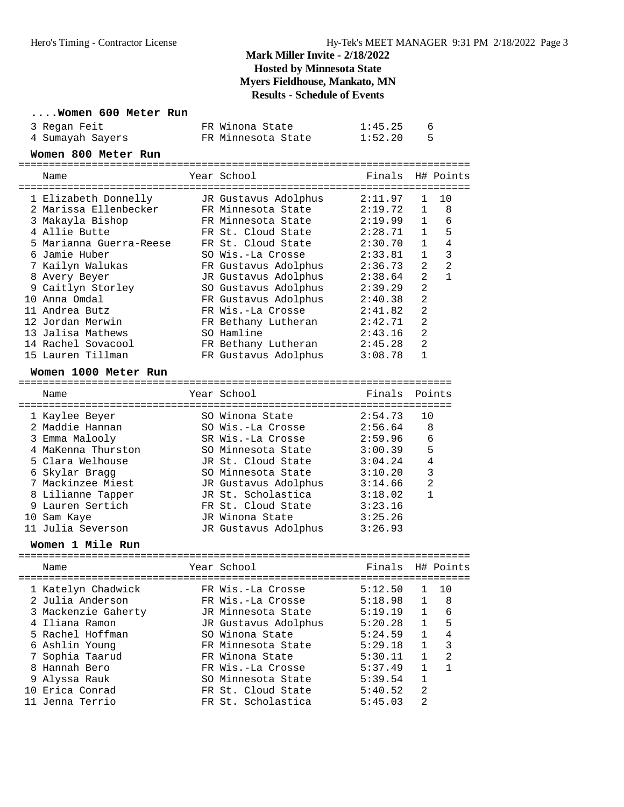#### **....Women 600 Meter Run**

| 3 Regan Feit     | FR Winona State    | 1:45.25 |  |
|------------------|--------------------|---------|--|
| 4 Sumayah Sayers | FR Minnesota State | 1:52.20 |  |

#### **Women 800 Meter Run**

| Name                    | Year School          | Finals H# Points |                |                |
|-------------------------|----------------------|------------------|----------------|----------------|
| 1 Elizabeth Donnelly    | JR Gustavus Adolphus | 2:11.97          | $\mathbf{1}$   | 10             |
| 2 Marissa Ellenbecker   | FR Minnesota State   | 2:19.72          | $\mathbf{1}$   | 8              |
| 3 Makayla Bishop        | FR Minnesota State   | 2:19.99          | $\mathbf{1}$   | 6              |
| 4 Allie Butte           | FR St. Cloud State   | 2:28.71          | $\mathbf{1}$   | 5              |
| 5 Marianna Guerra-Reese | FR St. Cloud State   | 2:30.70          | $\mathbf{1}$   | 4              |
| 6 Jamie Huber           | SO Wis.-La Crosse    | 2:33.81          | $\mathbf{1}$   | 3              |
| 7 Kailyn Walukas        | FR Gustavus Adolphus | 2:36.73          | $\mathfrak{D}$ | $\mathfrak{D}$ |
| 8 Avery Beyer           | JR Gustavus Adolphus | 2:38.64          | $\mathfrak{D}$ | 1              |
| 9 Caitlyn Storley       | SO Gustavus Adolphus | 2:39.29          | $\overline{2}$ |                |
| 10 Anna Omdal           | FR Gustavus Adolphus | 2:40.38          | 2              |                |
| 11 Andrea Butz          | FR Wis.-La Crosse    | 2:41.82          | 2              |                |
| 12 Jordan Merwin        | FR Bethany Lutheran  | 2:42.71          | 2              |                |
| 13 Jalisa Mathews       | SO Hamline           | 2:43.16          | $\mathfrak{D}$ |                |
| 14 Rachel Sovacool      | FR Bethany Lutheran  | 2:45.28          | $\mathfrak{D}$ |                |
| 15 Lauren Tillman       | FR Gustavus Adolphus | 3:08.78          |                |                |

#### **Women 1000 Meter Run**

======================================================================= Finals Points

| nallit             | ICAL DUIUUI          | $F$ $\perp$ $H$ $A$ $\perp$ $S$ | PULLLUS      |
|--------------------|----------------------|---------------------------------|--------------|
| 1 Kaylee Beyer     | SO Winona State      | 2:54.73                         | 10           |
| 2 Maddie Hannan    | SO Wis.-La Crosse    | 2:56.64                         | 8            |
| 3 Emma Malooly     | SR Wis.-La Crosse    | 2:59.96                         | -6           |
| 4 MaKenna Thurston | SO Minnesota State   | 3:00.39                         | 5            |
| 5 Clara Welhouse   | JR St. Cloud State   | 3:04.24                         | 4            |
| 6 Skylar Bragg     | SO Minnesota State   | 3:10.20                         | 3            |
| 7 Mackinzee Miest  | JR Gustavus Adolphus | 3:14.66                         | 2            |
| 8 Lilianne Tapper  | JR St. Scholastica   | 3:18.02                         | $\mathbf{1}$ |
| 9 Lauren Sertich   | FR St. Cloud State   | 3:23.16                         |              |
| 10 Sam Kaye        | JR Winona State      | 3:25.26                         |              |
| 11 Julia Severson  | JR Gustavus Adolphus | 3:26.93                         |              |

#### **Women 1 Mile Run**

|  | Name                | Year School          | Finals H# Points |                |               |
|--|---------------------|----------------------|------------------|----------------|---------------|
|  | 1 Katelyn Chadwick  | FR Wis.-La Crosse    | 5:12.50          |                | 10            |
|  | 2 Julia Anderson    | FR Wis.-La Crosse    | 5:18.98          | $\mathbf{1}$   | 8             |
|  | 3 Mackenzie Gaherty | JR Minnesota State   | 5:19.19          | $\mathbf{1}$   | 6             |
|  | 4 Iliana Ramon      | JR Gustavus Adolphus | 5:20.28          | $\mathbf{1}$   | 5             |
|  | 5 Rachel Hoffman    | SO Winona State      | 5:24.59          | $\mathbf{1}$   | 4             |
|  | 6 Ashlin Young      | FR Minnesota State   | 5:29.18          | $\mathbf{1}$   | 3             |
|  | 7 Sophia Taarud     | FR Winona State      | 5:30.11          | $\mathbf{1}$   | $\mathcal{L}$ |
|  | 8 Hannah Bero       | FR Wis.-La Crosse    | 5:37.49          |                |               |
|  | 9 Alyssa Rauk       | SO Minnesota State   | 5:39.54          | $\mathbf{1}$   |               |
|  | 10 Erica Conrad     | FR St. Cloud State   | 5:40.52          | $\mathfrak{D}$ |               |
|  | 11 Jenna Terrio     | FR St. Scholastica   | 5:45.03          | $\mathfrak{D}$ |               |
|  |                     |                      |                  |                |               |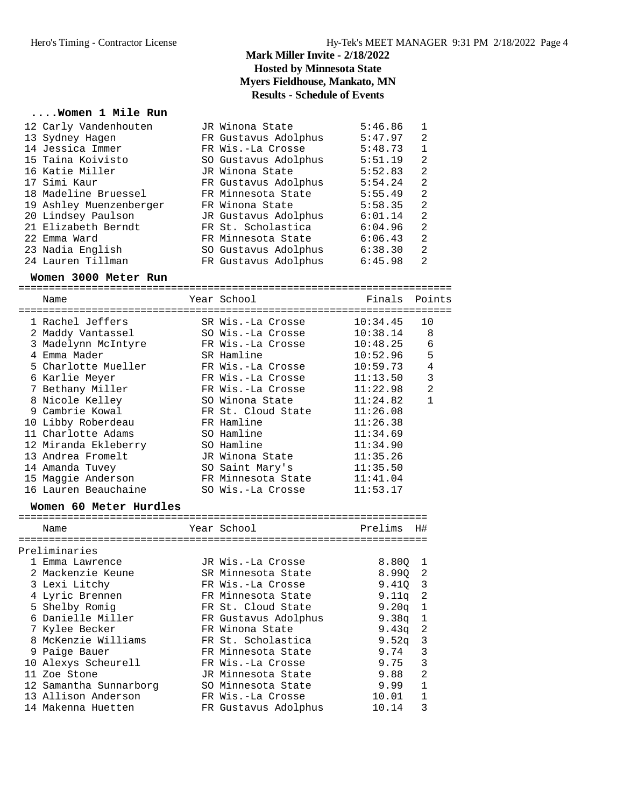#### **....Women 1 Mile Run**

| 12 Carly Vandenhouten   | JR Winona State      | 5:46.86 |                |
|-------------------------|----------------------|---------|----------------|
| 13 Sydney Hagen         | FR Gustavus Adolphus | 5:47.97 | 2              |
| 14 Jessica Immer        | FR Wis.-La Crosse    | 5:48.73 | $\mathbf{1}$   |
| 15 Taina Koivisto       | SO Gustavus Adolphus | 5:51.19 | 2              |
| 16 Katie Miller         | JR Winona State      | 5:52.83 | 2              |
| 17 Simi Kaur            | FR Gustavus Adolphus | 5:54.24 | 2              |
| 18 Madeline Bruessel    | FR Minnesota State   | 5:55.49 | 2              |
| 19 Ashley Muenzenberger | FR Winona State      | 5:58.35 | 2              |
| 20 Lindsey Paulson      | JR Gustavus Adolphus | 6:01.14 | 2              |
| 21 Elizabeth Berndt     | FR St. Scholastica   | 6:04.96 | 2              |
| 22 Emma Ward            | FR Minnesota State   | 6:06.43 | $\mathfrak{D}$ |
| 23 Nadia English        | SO Gustavus Adolphus | 6:38.30 | 2              |
| 24 Lauren Tillman       | FR Gustavus Adolphus | 6:45.98 | $\mathfrak{D}$ |

#### **Women 3000 Meter Run**

======================================================================= Name The Year School The Finals Points ======================================================================= 1 Rachel Jeffers SR Wis.-La Crosse 10:34.45 10 2 Maddy Vantassel SO Wis.-La Crosse 10:38.14 8 3 Madelynn McIntyre FR Wis.-La Crosse 10:48.25 6 4 Emma Mader SR Hamline 10:52.96 5 5 Charlotte Mueller FR Wis.-La Crosse 10:59.73 4 6 Karlie Meyer FR Wis.-La Crosse 11:13.50 3 7 Bethany Miller FR Wis.-La Crosse 11:22.98 2 8 Nicole Kelley SO Winona State 11:24.82 1 9 Cambrie Kowal FR St. Cloud State 11:26.08 10 Libby Roberdeau FR Hamline 11:26.38 11 Charlotte Adams SO Hamline 11:34.69 12 Miranda Ekleberry SO Hamline 11:34.90 13 Andrea Fromelt JR Winona State 11:35.26 14 Amanda Tuvey SO Saint Mary's 11:35.50 15 Maggie Anderson FR Minnesota State 11:41.04 16 Lauren Beauchaine SO Wis.-La Crosse 11:53.17

#### **Women 60 Meter Hurdles**

| Name                   | Year School          | Prelims           | H#                      |
|------------------------|----------------------|-------------------|-------------------------|
| Preliminaries          |                      |                   |                         |
| 1 Emma Lawrence        | JR Wis.-La Crosse    | 8.800             | 1                       |
| 2 Mackenzie Keune      | SR Minnesota State   | 8.990             | 2                       |
| 3 Lexi Litchy          | FR Wis.-La Crosse    | $9.410 \quad 3$   |                         |
| 4 Lyric Brennen        | FR Minnesota State   | 9.11a             | -2                      |
| 5 Shelby Romig         | FR St. Cloud State   | 9.20 <sub>q</sub> | 1                       |
| 6 Danielle Miller      | FR Gustavus Adolphus | 9.38q             | 1                       |
| 7 Kylee Becker         | FR Winona State      | 9.43a             | -2                      |
| 8 McKenzie Williams    | FR St. Scholastica   | 9.52a             | $\overline{\mathbf{3}}$ |
| 9 Paige Bauer          | FR Minnesota State   | 9.74              | 3                       |
| 10 Alexys Scheurell    | FR Wis.-La Crosse    | 9.75              | 3                       |
| 11 Zoe Stone           | JR Minnesota State   | 9.88              | 2                       |
| 12 Samantha Sunnarborg | SO Minnesota State   | 9.99              | $\mathbf{1}$            |
| 13 Allison Anderson    | FR Wis.-La Crosse    | 10.01             | 1                       |
| 14 Makenna Huetten     | FR Gustavus Adolphus | 10.14             | 3                       |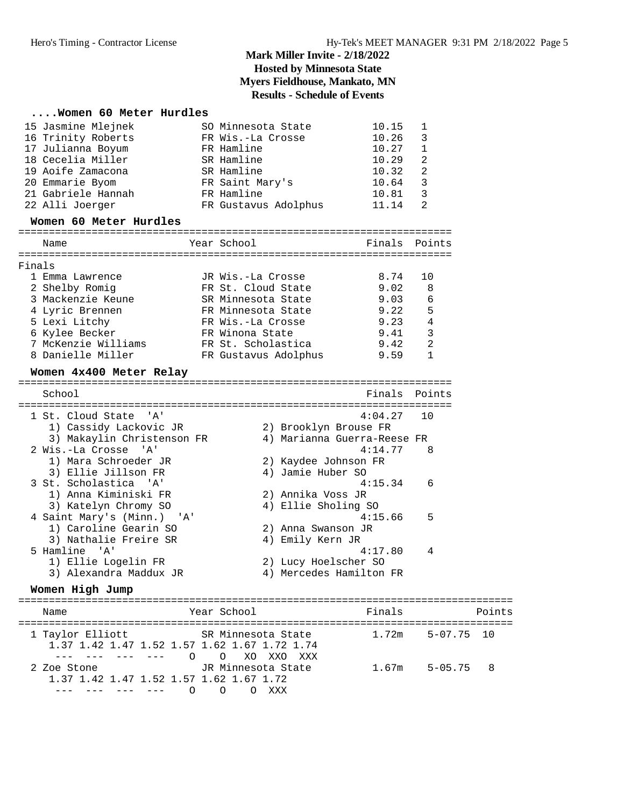# **....Women 60 Meter Hurdles**

| 15 Jasmine Mlejnek                                               |          | SO Minnesota State   |                         | 10.15                       | 1              |        |
|------------------------------------------------------------------|----------|----------------------|-------------------------|-----------------------------|----------------|--------|
| 16 Trinity Roberts                                               |          | FR Wis.-La Crosse    |                         | 10.26                       | 3              |        |
| 17 Julianna Boyum                                                |          | FR Hamline           |                         | 10.27                       | 1              |        |
| 18 Cecelia Miller                                                |          | SR Hamline           |                         | 10.29                       | 2              |        |
| 19 Aoife Zamacona                                                |          | SR Hamline           |                         | 10.32                       | 2              |        |
| 20 Emmarie Byom                                                  |          | FR Saint Mary's      |                         | 10.64                       | 3              |        |
| 21 Gabriele Hannah                                               |          | FR Hamline           |                         | 10.81                       | 3              |        |
| 22 Alli Joerger                                                  |          | FR Gustavus Adolphus |                         | 11.14                       | 2              |        |
| Women 60 Meter Hurdles                                           |          |                      |                         |                             |                |        |
| Name                                                             |          | Year School          |                         | Finals                      | Points         |        |
| Finals                                                           |          |                      |                         |                             |                |        |
| 1 Emma Lawrence                                                  |          | JR Wis.-La Crosse    |                         | 8.74                        | 10             |        |
| 2 Shelby Romig                                                   |          | FR St. Cloud State   |                         | 9.02                        | 8              |        |
| 3 Mackenzie Keune                                                |          | SR Minnesota State   |                         | 9.03                        | 6              |        |
| 4 Lyric Brennen                                                  |          | FR Minnesota State   |                         | 9.22                        | 5              |        |
| 5 Lexi Litchy                                                    |          | FR Wis.-La Crosse    |                         | 9.23                        | 4              |        |
| 6 Kylee Becker                                                   |          | FR Winona State      |                         | 9.41                        | 3              |        |
| 7 McKenzie Williams                                              |          | FR St. Scholastica   |                         | 9.42                        | 2              |        |
| 8 Danielle Miller                                                |          | FR Gustavus Adolphus |                         | 9.59                        | 1              |        |
| Women 4x400 Meter Relay                                          |          |                      |                         |                             |                |        |
| School                                                           |          |                      |                         | Finals                      | Points         |        |
|                                                                  |          |                      |                         |                             |                |        |
| 1 St. Cloud State<br>'' A '                                      |          |                      |                         | 4:04.27                     | 10             |        |
| 1) Cassidy Lackovic JR                                           |          |                      | 2) Brooklyn Brouse FR   |                             |                |        |
| 3) Makaylin Christenson FR                                       |          |                      |                         | 4) Marianna Guerra-Reese FR |                |        |
| 2 Wis.-La Crosse 'A'                                             |          |                      |                         | 4:14.77                     | 8              |        |
| 1) Mara Schroeder JR                                             |          |                      | 2) Kaydee Johnson FR    |                             |                |        |
| 3) Ellie Jillson FR                                              |          |                      | 4) Jamie Huber SO       |                             |                |        |
| 3 St. Scholastica 'A'                                            |          |                      |                         | 4:15.34                     | 6              |        |
| 1) Anna Kiminiski FR                                             |          |                      | 2) Annika Voss JR       |                             |                |        |
| 3) Katelyn Chromy SO                                             |          |                      | 4) Ellie Sholing SO     |                             |                |        |
| 4 Saint Mary's (Minn.) 'A'                                       |          |                      |                         | 4:15.66                     | 5              |        |
| 1) Caroline Gearin SO                                            |          |                      | 2) Anna Swanson JR      |                             |                |        |
| 3) Nathalie Freire SR                                            |          |                      | 4) Emily Kern JR        |                             |                |        |
| 5 Hamline 'A'                                                    |          |                      |                         | 4:17.80                     | 4              |        |
| 1) Ellie Logelin FR                                              |          |                      | 2) Lucy Hoelscher SO    |                             |                |        |
| 3) Alexandra Maddux JR                                           |          |                      | 4) Mercedes Hamilton FR |                             |                |        |
| Women High Jump                                                  |          |                      |                         |                             |                |        |
| Name                                                             |          | Year School          |                         | Finals                      |                | Points |
|                                                                  |          |                      |                         |                             |                |        |
| 1 Taylor Elliott<br>1.37 1.42 1.47 1.52 1.57 1.62 1.67 1.72 1.74 |          | SR Minnesota State   |                         | 1.72m                       | $5 - 07.75$ 10 |        |
| $\frac{1}{2}$<br>$- - - -$<br>$- - - -$                          | $\Omega$ | $\circ$              | XO XXO XXX              |                             |                |        |
| 2 Zoe Stone                                                      |          | JR Minnesota State   |                         | 1.67m                       | $5 - 05.75$    | 8      |

 1.37 1.42 1.47 1.52 1.57 1.62 1.67 1.72 --- --- --- --- 0 0 0 XXX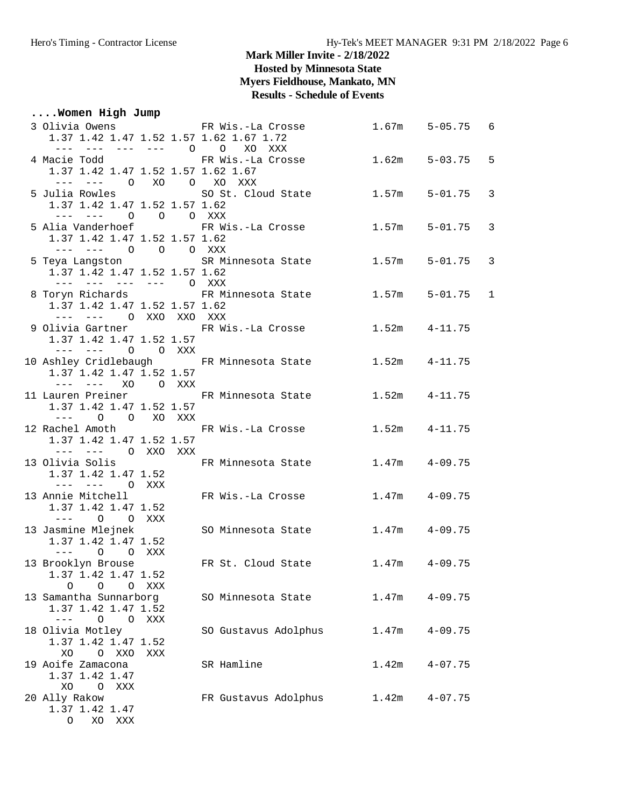## **Mark Miller Invite - 2/18/2022**

**Hosted by Minnesota State**

**Myers Fieldhouse, Mankato, MN**

## **Results - Schedule of Events**

## **....Women High Jump**

| 3 Olivia Owens                                                                                                                                                                                                                       | FR Wis.-La Crosse    | 1.67m             | $5 - 05.75$ | 6            |
|--------------------------------------------------------------------------------------------------------------------------------------------------------------------------------------------------------------------------------------|----------------------|-------------------|-------------|--------------|
| 1.37 1.42 1.47 1.52 1.57 1.62 1.67 1.72                                                                                                                                                                                              |                      |                   |             |              |
| --- --- --- --- 0                                                                                                                                                                                                                    | $\circ$<br>XO XXX    |                   |             |              |
| 4 Macie Todd<br>1.37 1.42 1.47 1.52 1.57 1.62 1.67                                                                                                                                                                                   | FR Wis.-La Crosse    | 1.62m             | $5 - 03.75$ | 5            |
| $--- - - - - - - 0$                                                                                                                                                                                                                  | XO O XO XXX          |                   |             |              |
| 5 Julia Rowles                                                                                                                                                                                                                       | SO St. Cloud State   | 1.57m             | $5 - 01.75$ | 3            |
| 1.37 1.42 1.47 1.52 1.57 1.62                                                                                                                                                                                                        |                      |                   |             |              |
| --- --- -<br>O O O XXX                                                                                                                                                                                                               |                      |                   |             |              |
| 5 Alia Vanderhoef                                                                                                                                                                                                                    | FR Wis.-La Crosse    | 1.57m             | 5-01.75     | 3            |
| 1.37 1.42 1.47 1.52 1.57 1.62                                                                                                                                                                                                        |                      |                   |             |              |
| --- --- 0 0 0 XXX                                                                                                                                                                                                                    |                      |                   |             |              |
| 5 Teya Langston                                                                                                                                                                                                                      | SR Minnesota State   | 1.57m             | $5 - 01.75$ | 3            |
| 1.37 1.42 1.47 1.52 1.57 1.62                                                                                                                                                                                                        |                      |                   |             |              |
| --- --- --- --- O XXX                                                                                                                                                                                                                |                      |                   |             |              |
| 8 Toryn Richards 6 FR Minnesota State                                                                                                                                                                                                |                      | 1.57m             | 5-01.75     | $\mathbf{1}$ |
| 1.37 1.42 1.47 1.52 1.57 1.62<br>--- --- O XXO XXO XXX                                                                                                                                                                               |                      |                   |             |              |
| 9 Olivia Gartner                                                                                                                                                                                                                     | FR Wis.-La Crosse    | 1.52m             | 4-11.75     |              |
| 1.37 1.42 1.47 1.52 1.57                                                                                                                                                                                                             |                      |                   |             |              |
| --- --- 0 0 XXX                                                                                                                                                                                                                      |                      |                   |             |              |
| 10 Ashley Cridlebaugh FR Minnesota State                                                                                                                                                                                             |                      | $1.52m$ $4-11.75$ |             |              |
| 1.37 1.42 1.47 1.52 1.57                                                                                                                                                                                                             |                      |                   |             |              |
| --- --- XO O XXX                                                                                                                                                                                                                     |                      |                   |             |              |
| 11 Lauren Preiner                                                                                                                                                                                                                    | FR Minnesota State   | 1.52m             | $4 - 11.75$ |              |
| 1.37 1.42 1.47 1.52 1.57                                                                                                                                                                                                             |                      |                   |             |              |
| $\circ$<br>O XO XXX<br>$---$                                                                                                                                                                                                         |                      |                   |             |              |
| 12 Rachel Amoth<br>1.37 1.42 1.47 1.52 1.57                                                                                                                                                                                          | FR Wis.-La Crosse    | 1.52m             | $4 - 11.75$ |              |
| --- --- O XXO XXX                                                                                                                                                                                                                    |                      |                   |             |              |
| 13 Olivia Solis                                                                                                                                                                                                                      | FR Minnesota State   | 1.47m             | $4 - 09.75$ |              |
| 1.37 1.42 1.47 1.52                                                                                                                                                                                                                  |                      |                   |             |              |
| --- --- O XXX                                                                                                                                                                                                                        |                      |                   |             |              |
| 13 Annie Mitchell                                                                                                                                                                                                                    | FR Wis.-La Crosse    | 1.47m             | $4 - 09.75$ |              |
| 1.37 1.42 1.47 1.52                                                                                                                                                                                                                  |                      |                   |             |              |
| O O XXX<br>$\frac{1}{2} \left( \frac{1}{2} \left( \frac{1}{2} \right) - \frac{1}{2} \left( \frac{1}{2} \right) \right) + \frac{1}{2} \left( \frac{1}{2} \left( \frac{1}{2} \right) - \frac{1}{2} \left( \frac{1}{2} \right) \right)$ |                      |                   |             |              |
| 13 Jasmine Mlejnek                                                                                                                                                                                                                   | SO Minnesota State   | 1.47m             | $4 - 09.75$ |              |
| 1.37 1.42 1.47 1.52                                                                                                                                                                                                                  |                      |                   |             |              |
| $\circ$<br>O XXX<br>$- - -$                                                                                                                                                                                                          | FR St. Cloud State   | 1.47m             | $4 - 09.75$ |              |
| 13 Brooklyn Brouse<br>1.37 1.42 1.47 1.52                                                                                                                                                                                            |                      |                   |             |              |
| O<br>0<br>O XXX                                                                                                                                                                                                                      |                      |                   |             |              |
| 13 Samantha Sunnarborg                                                                                                                                                                                                               | SO Minnesota State   | 1.47m             | $4 - 09.75$ |              |
| 1.37 1.42 1.47 1.52                                                                                                                                                                                                                  |                      |                   |             |              |
| $\frac{1}{2}$<br>$\circ$<br>O XXX                                                                                                                                                                                                    |                      |                   |             |              |
| 18 Olivia Motley                                                                                                                                                                                                                     | SO Gustavus Adolphus | 1.47m             | $4 - 09.75$ |              |
| 1.37 1.42 1.47 1.52                                                                                                                                                                                                                  |                      |                   |             |              |
| O XXO<br>XO<br>XXX                                                                                                                                                                                                                   |                      |                   |             |              |
| 19 Aoife Zamacona                                                                                                                                                                                                                    | SR Hamline           | 1.42m             | $4 - 07.75$ |              |
| 1.37 1.42 1.47                                                                                                                                                                                                                       |                      |                   |             |              |
| XO.<br>O XXX<br>20 Ally Rakow                                                                                                                                                                                                        | FR Gustavus Adolphus | 1.42m             | $4 - 07.75$ |              |
| 1.37 1.42 1.47                                                                                                                                                                                                                       |                      |                   |             |              |
| O XO XXX                                                                                                                                                                                                                             |                      |                   |             |              |
|                                                                                                                                                                                                                                      |                      |                   |             |              |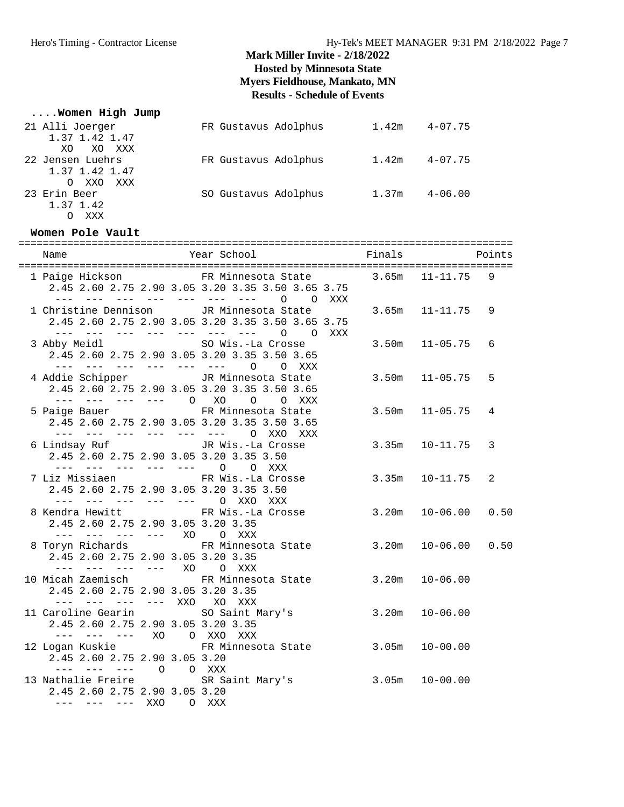## **....Women High Jump**

| 21 Alli Joerger     | FR Gustavus Adolphus | 1.42m | $4 - 07.75$ |
|---------------------|----------------------|-------|-------------|
| 1.37 1.42 1.47      |                      |       |             |
| XO XXX<br>XO.       |                      |       |             |
| 22 Jensen Luehrs    | FR Gustavus Adolphus | 1.42m | $4 - 07.75$ |
| 1.37 1.42 1.47      |                      |       |             |
| XXO XXX<br>$\Omega$ |                      |       |             |
| 23 Erin Beer        | SO Gustavus Adolphus | 1.37m | $4 - 06.00$ |
| 1.37 1.42           |                      |       |             |
| XXX                 |                      |       |             |

#### **Women Pole Vault**

|                                                                                                         | 1 Paige Hickson FR Minnesota State 3.65m 11-11.75 9<br>2.45 2.60 2.75 2.90 3.05 3.20 3.35 3.50 3.65 3.75<br>--- --- --- --- --- --- --- 0 0 XXX |                         |
|---------------------------------------------------------------------------------------------------------|-------------------------------------------------------------------------------------------------------------------------------------------------|-------------------------|
|                                                                                                         | 1 Christine Dennison       JR Minnesota State<br>2.45 2.60 2.75 2.90 3.05 3.20 3.35 3.50 3.65 3.75<br>--- --- --- --- --- --- --- 0 0 XXX       | $3.65m$ $11-11.75$<br>9 |
| 3 Abby Meidl SO Wis.-La Crosse                                                                          | 2.45 2.60 2.75 2.90 3.05 3.20 3.35 3.50 3.65<br>--- --- --- --- --- --- 0 0 XXX                                                                 | $3.50m$ $11-05.75$<br>6 |
| 4 Addie Schipper <a> JR Minnesota State</a>                                                             | 2.45 2.60 2.75 2.90 3.05 3.20 3.35 3.50 3.65<br>--- --- --- --- 0 XO 0 0 XXX                                                                    | $3.50m$ $11-05.75$<br>5 |
| 5 Paige Bauer 6 FR Minnesota State                                                                      | 2.45 2.60 2.75 2.90 3.05 3.20 3.35 3.50 3.65<br>--- --- --- --- --- --- O XXO XXX                                                               | $3.50m$ $11-05.75$<br>4 |
| 6 Lindsay Ruf Gallery JR Wis.-La Crosse<br>2.45 2.60 2.75 2.90 3.05 3.20 3.35 3.50                      |                                                                                                                                                 | $3.35m$ $10-11.75$<br>3 |
| --- --- --- --- --- 0 0 XXX<br>2.45 2.60 2.75 2.90 3.05 3.20 3.35 3.50<br>--- --- --- --- --- 0 XXO XXX | 7 Liz Missiaen Martin FR Wis.-La Crosse                                                                                                         | $3.35m$ $10-11.75$<br>2 |
| 2.45 2.60 2.75 2.90 3.05 3.20 3.35                                                                      | 8 Kendra Hewitt FR Wis.-La Crosse 3.20m 10-06.00                                                                                                | 0.50                    |
| --- --- --- --- XO O XXX<br>2.45 2.60 2.75 2.90 3.05 3.20 3.35                                          | 8 Toryn Richards 6.50 FR Minnesota State 3.20m 10-06.00 0.50                                                                                    |                         |
| --- --- --- --- XO O XXX<br>2.45 2.60 2.75 2.90 3.05 3.20 3.35                                          | 10 Micah Zaemisch           FR Minnesota State         3.20m                                                                                    | $10 - 06.00$            |
| --- --- --- --- XXO XO XXX<br>2.45 2.60 2.75 2.90 3.05 3.20 3.35                                        | 11 Caroline Gearin 50 Saint Mary's 3.20m 10-06.00                                                                                               |                         |
| --- --- --- XO O XXO XXX<br>12 Logan Kuskie<br>2.45 2.60 2.75 2.90 3.05 3.20                            | FR Minnesota State 3.05m                                                                                                                        | $10 - 00.00$            |
| --- --- --- 0 0 XXX<br>2.45 2.60 2.75 2.90 3.05 3.20<br>--- --- --- XXO O XXX                           | 13 Nathalie Freire SR Saint Mary's 3.05m 10-00.00                                                                                               |                         |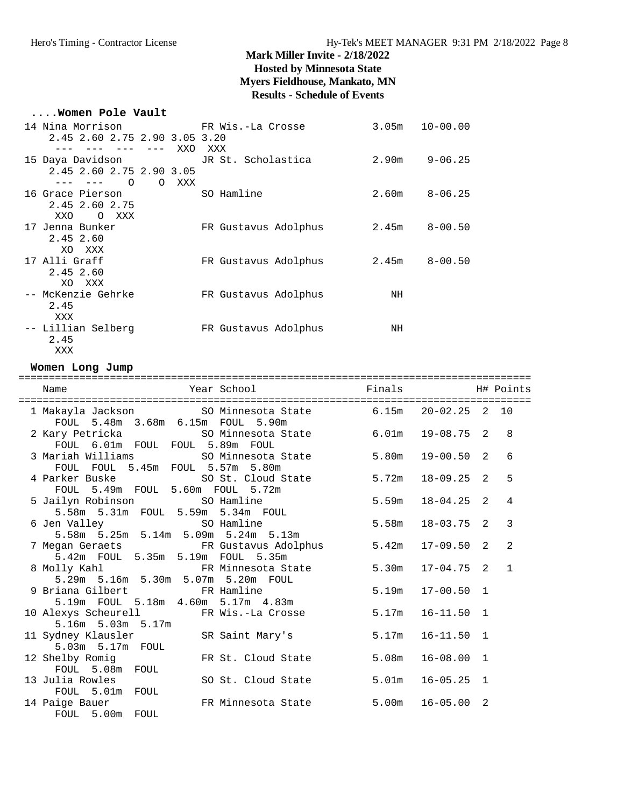#### **....Women Pole Vault**

| 14 Nina Morrison                             FR Wis.-La Crosse |                      | 3.05 <sub>m</sub> | $10 - 00.00$ |
|----------------------------------------------------------------|----------------------|-------------------|--------------|
| 2.45 2.60 2.75 2.90 3.05 3.20                                  |                      |                   |              |
| XXO                                                            | XXX                  |                   |              |
| 15 Daya Davidson                                               | JR St. Scholastica   | 2.90m             | $9 - 06.25$  |
| 2.45 2.60 2.75 2.90 3.05                                       |                      |                   |              |
| $\Omega$<br>$\circ$<br>XXX<br>--- --- -                        |                      |                   |              |
| 16 Grace Pierson                                               | SO Hamline           | 2.60m             | $8 - 06.25$  |
| 2.45 2.60 2.75                                                 |                      |                   |              |
| XXO<br>O XXX                                                   |                      |                   |              |
| 17 Jenna Bunker                                                | FR Gustavus Adolphus | 2.45m             | $8 - 00.50$  |
| 2.45 2.60                                                      |                      |                   |              |
| XO XXX                                                         |                      |                   |              |
| 17 Alli Graff                                                  | FR Gustavus Adolphus | 2.45m             | $8 - 00.50$  |
| 2.45 2.60                                                      |                      |                   |              |
| XO.<br>XXX                                                     |                      |                   |              |
| -- McKenzie Gehrke                                             | FR Gustavus Adolphus | NH                |              |
| 2.45                                                           |                      |                   |              |
| XXX                                                            |                      |                   |              |
| -- Lillian Selberg                                             | FR Gustavus Adolphus | NH                |              |
| 2.45                                                           |                      |                   |              |

#### **Women Long Jump**

XXX

| Year School<br>Name                                                         | Finals |                | H# Points    |
|-----------------------------------------------------------------------------|--------|----------------|--------------|
|                                                                             |        |                |              |
| 1 Makayla Jackson 50 Minnesota State 5.15m 20-02.25 2 10                    |        |                |              |
| FOUL 5.48m 3.68m 6.15m FOUL 5.90m                                           |        |                |              |
| 2 Kary Petricka (50 Minnesota State 6.01m)                                  |        | 19-08.75 2     | 8            |
| FOUL 6.01m FOUL FOUL 5.89m FOUL                                             |        |                |              |
| 3 Mariah Williams SO Minnesota State                                        | 5.80m  | $19 - 00.50$ 2 | 6            |
| FOUL FOUL 5.45m FOUL 5.57m 5.80m                                            |        |                |              |
| 4 Parker Buske SO St. Cloud State 5.72m                                     |        | $18 - 09.25$ 2 | 5            |
| FOUL 5.49m FOUL 5.60m FOUL 5.72m                                            |        |                |              |
|                                                                             | 5.59m  | $18 - 04.25$ 2 | 4            |
|                                                                             |        |                |              |
| 6 Jen Valley SO Hamline                                                     | 5.58m  | $18 - 03.75$ 2 | 3            |
| 5.58m 5.25m 5.14m 5.09m 5.24m 5.13m                                         |        |                | 2            |
| 7 Megan Geraets 6 FR Gustavus Adolphus<br>5.42m FOUL 5.35m 5.19m FOUL 5.35m | 5.42m  | $17 - 09.50$ 2 |              |
|                                                                             | 5.30m  | $17 - 04.75$ 2 | $\mathbf{1}$ |
| 8 Molly Kahl           FR Minnesota State                                   |        |                |              |
| 5.29m 5.16m 5.30m 5.07m 5.20m FOUL                                          |        | $17 - 00.50$ 1 |              |
| 9 Briana Gilbert 6 FR Hamline                                               | 5.19m  |                |              |
| 5.19m FOUL 5.18m 4.60m 5.17m 4.83m                                          | 5.17m  | $16 - 11.50$ 1 |              |
| 10 Alexys Scheurell FR Wis.-La Crosse<br>5.16m 5.03m 5.17m                  |        |                |              |
| 11 Sydney Klausler SR Saint Mary's                                          | 5.17m  | $16 - 11.50$ 1 |              |
| 5.03m 5.17m FOUL                                                            |        |                |              |
| 12 Shelby Romig TR St. Cloud State                                          | 5.08m  | $16 - 08.00$ 1 |              |
| FOUL 5.08m FOUL                                                             |        |                |              |
| 13 Julia Rowles<br>SO St. Cloud State                                       | 5.01m  | $16 - 05.25$ 1 |              |
| FOUL 5.01m FOUL                                                             |        |                |              |
| 14 Paige Bauer<br>FR Minnesota State                                        | 5.00m  | $16 - 05.00$ 2 |              |
| FOUL 5.00m FOUL                                                             |        |                |              |
|                                                                             |        |                |              |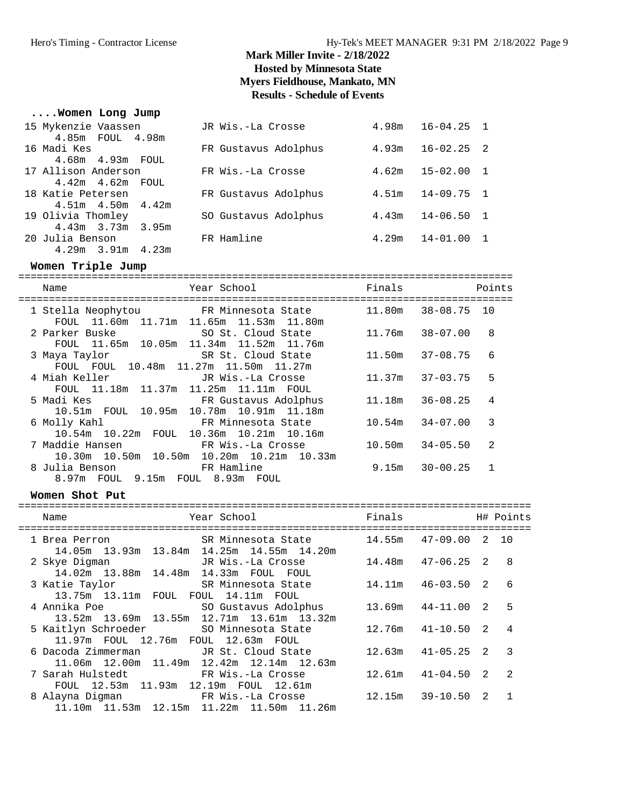#### **....Women Long Jump**

| 15 Mykenzie Vaassen     | JR Wis.-La Crosse    | 4.98m | $16 - 04.25$ 1 |  |
|-------------------------|----------------------|-------|----------------|--|
| 4.85m FOUL 4.98m        |                      |       |                |  |
| 16 Madi Kes             | FR Gustavus Adolphus | 4.93m | $16 - 02.25$ 2 |  |
| 4.68m  4.93m  FOUL      |                      |       |                |  |
| 17 Allison Anderson     | FR Wis.-La Crosse    | 4.62m | $15 - 02.00$ 1 |  |
| $4.42m$ $4.62m$ FOUL    |                      |       |                |  |
| 18 Katie Petersen       | FR Gustavus Adolphus | 4.51m | $14 - 09.75$ 1 |  |
| $4.51m$ $4.50m$ $4.42m$ |                      |       |                |  |
| 19 Olivia Thomley       | SO Gustavus Adolphus | 4.43m | $14 - 06.50$ 1 |  |
| 4.43m 3.73m 3.95m       |                      |       |                |  |
| 20 Julia Benson         | FR Hamline           | 4.29m | $14 - 01.00$ 1 |  |
| $4.29m$ $3.91m$ $4.23m$ |                      |       |                |  |

#### **Women Triple Jump**

| Name                                                   | Year School and the School and the School                                                                 | Finals |              | Points |
|--------------------------------------------------------|-----------------------------------------------------------------------------------------------------------|--------|--------------|--------|
|                                                        | 1 Stella Neophytou 6 FR Minnesota State<br>FOUL 11.60m 11.71m 11.65m 11.53m 11.80m                        | 11.80m | 38-08.75 10  |        |
| 2 Parker Buske                                         | SO St. Cloud State<br>FOUL 11.65m 10.05m 11.34m 11.52m 11.76m                                             | 11.76m | 38-07.00     | 8      |
| 3 Maya Taylor<br>FOUL FOUL 10.48m 11.27m 11.50m 11.27m | SR St. Cloud State                                                                                        | 11.50m | 37-08.75     | 6      |
| 4 Miah Keller<br>FOUL 11.18m 11.37m 11.25m 11.11m FOUL | JR Wis.-La Crosse                                                                                         | 11.37m | 37-03.75     | 5      |
| 5 Madi Kes                                             | FR Gustavus Adolphus<br>10.51m FOUL 10.95m 10.78m 10.91m 11.18m                                           | 11.18m | 36-08.25     | 4      |
|                                                        | 6 Molly Kahl                           FR Minnesota State<br>10.54m 10.22m FOUL 10.36m 10.21m 10.16m      | 10.54m | $34 - 07.00$ | 3      |
|                                                        | 7 Maddie Hansen                       FR Wis.-La Crosse<br>10.30m  10.50m  10.50m  10.20m  10.21m  10.33m | 10.50m | 34-05.50     | 2      |
| 8 Julia Benson<br>8.97m FOUL 9.15m FOUL 8.93m FOUL     | FR Hamline                                                                                                | 9.15m  | $30 - 00.25$ |        |

#### **Women Shot Put**

| Year School<br>Name<br>---------------------------<br>================                                                                  | Finals                |                |                | H# Points      |
|-----------------------------------------------------------------------------------------------------------------------------------------|-----------------------|----------------|----------------|----------------|
| SR Minnesota State<br>1 Brea Perron<br>14.05m  13.93m  13.84m  14.25m  14.55m  14.20m                                                   | $14.55m$ $47-09.00$ 2 |                |                | 1 O            |
| 2 Skye Digman JR Wis.-La Crosse<br>14.02m 13.88m 14.48m 14.33m FOUL FOUL                                                                | 14.48m                | 47-06.25 2     |                | -8             |
| SR Minnesota State<br>3 Katie Taylor<br>13.75m 13.11m FOUL FOUL 14.11m FOUL                                                             | 14.11m                | $46 - 03.50$ 2 |                | 6              |
| 4 Annika Poe<br>SO Gustavus Adolphus<br>13.52m 13.69m 13.55m 12.71m 13.61m 13.32m                                                       | 13.69m                | 44-11.00       | $\overline{2}$ | 5              |
| SO Minnesota State<br>5 Kaitlyn Schroeder<br>11.97m FOUL 12.76m FOUL 12.63m FOUL                                                        | 12.76m                | $41 - 10.50$ 2 |                | $\overline{4}$ |
| 6 Dacoda Zimmerman         JR St. Cloud State<br>$11.06$ m $12.00$ m $11.49$ m $12.42$ m $12.14$ m $12.63$ m                            | 12.63m                | $41 - 05.25$ 2 |                | $\mathcal{R}$  |
| FR Wis.-La Crosse<br>7 Sarah Hulstedt<br>FOUL 12.53m 11.93m 12.19m FOUL 12.61m                                                          | 12.61m                | $41 - 04.50$ 2 |                | $\overline{2}$ |
| FR Wis.-La Crosse                       12.15m     39-10.50<br>8 Alayna Digman<br>$11.10m$ $11.53m$ $12.15m$ $11.22m$ $11.50m$ $11.26m$ |                       |                | $\overline{2}$ |                |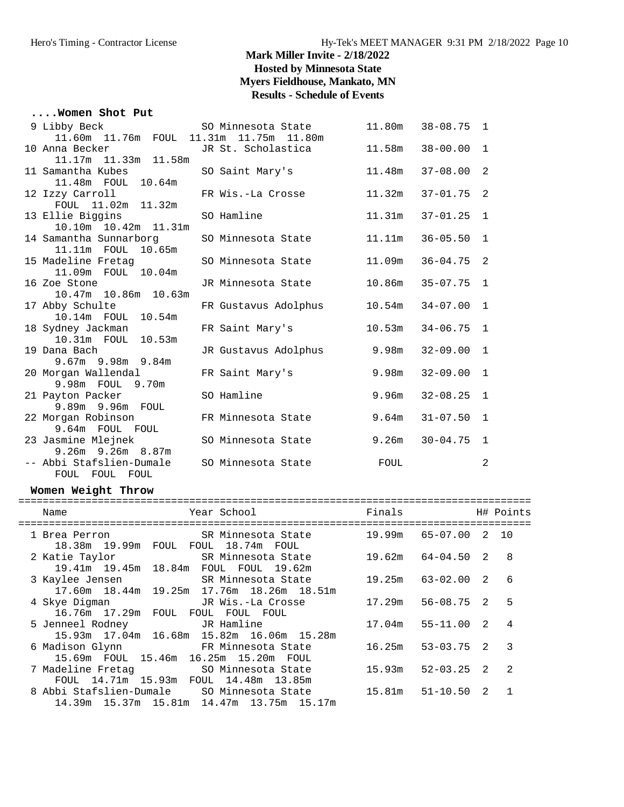#### **....Women Shot Put**

| 9 Libby Beck                                          | SO Minnesota State                           | 11.80m      | $38 - 08.75$ 1 |                |
|-------------------------------------------------------|----------------------------------------------|-------------|----------------|----------------|
|                                                       | 11.60m  11.76m  FOUL  11.31m  11.75m  11.80m |             |                |                |
| 10 Anna Becker<br>na Becker<br>11.17m  11.33m  11.58m | JR St. Scholastica                           | 11.58m      | $38 - 00.00$   | $\overline{1}$ |
|                                                       |                                              |             |                |                |
| 11 Samantha Kubes                                     | SO Saint Mary's                              | 11.48m      | $37 - 08.00$   | 2              |
| 11.48m FOUL 10.64m                                    |                                              |             |                |                |
| 12 Izzy Carroll                                       | FR Wis.-La Crosse                            | 11.32m      | $37 - 01.75$ 2 |                |
| FOUL 11.02m 11.32m                                    |                                              |             |                |                |
| 13 Ellie Biggins                                      | SO Hamline                                   | 11.31m      | $37 - 01.25$   | $\mathbf{1}$   |
| 10.10m  10.42m  11.31m                                |                                              |             |                |                |
| 14 Samantha Sunnarborg SO Minnesota State             |                                              | 11.11m      | $36 - 05.50$   | $\mathbf{1}$   |
| 11.11m FOUL 10.65m                                    |                                              |             |                |                |
| 15 Madeline Fretag               SO Minnesota State   |                                              | 11.09m      | $36 - 04.75$   | -2             |
| 11.09m FOUL 10.04m                                    |                                              |             |                |                |
| 16 Zoe Stone<br>10.47m 10.86m 10.63m                  | JR Minnesota State                           | 10.86m      | $35 - 07.75$   | 1              |
|                                                       |                                              |             |                |                |
| 17 Abby Schulte                                       | FR Gustavus Adolphus 10.54m                  |             | $34 - 07.00$   | $\mathbf{1}$   |
| 10.14m  FOUL  10.54m                                  |                                              |             |                |                |
| 18 Sydney Jackman                                     | FR Saint Mary's                              | 10.53m      | $34 - 06.75$   | $\overline{1}$ |
| 10.31m  FOUL  10.53m                                  |                                              |             |                |                |
| 19 Dana Bach                                          | JR Gustavus Adolphus                         | 9.98m       | $32 - 09.00$   | 1              |
| 9.67m 9.98m 9.84m                                     |                                              |             |                |                |
| 20 Morgan Wallendal                                   | FR Saint Mary's                              | 9.98m       | $32 - 09.00$   | $\mathbf{1}$   |
| 9.98m FOUL 9.70m                                      |                                              |             |                |                |
| 21 Payton Packer                                      | SO Hamline                                   | 9.96m       | $32 - 08.25$   | $\overline{1}$ |
| 9.89m 9.96m FOUL                                      |                                              |             |                |                |
| 22 Morgan Robinson                                    | FR Minnesota State                           | 9.64m       | $31 - 07.50$   | 1              |
| 9.64m FOUL FOUL                                       |                                              |             |                |                |
| 23 Jasmine Mlejnek                                    | SO Minnesota State                           | 9.26m       | $30 - 04.75$   | $\overline{1}$ |
| $9.26m$ $9.26m$ $8.87m$                               |                                              |             |                |                |
| -- Abbi Stafslien-Dumale                              | SO Minnesota State                           | <b>FOUL</b> |                | 2              |
| FOUL FOUL FOUL                                        |                                              |             |                |                |

#### **Women Weight Throw**

| Year School<br>Name                                                                                                      | Finals |              |                | H# Points      |
|--------------------------------------------------------------------------------------------------------------------------|--------|--------------|----------------|----------------|
| 1 Brea Perron               SR Minnesota State         19.99m   65-07.00   2   10<br>18.38m 19.99m FOUL FOUL 18.74m FOUL |        |              |                |                |
| SR Minnesota State<br>2 Katie Taylor<br>19.41m 19.45m 18.84m FOUL FOUL 19.62m                                            | 19.62m | 64-04.50 2 8 |                |                |
| 3 Kaylee Jensen SR Minnesota State<br>17.60m  18.44m  19.25m  17.76m  18.26m  18.51m                                     | 19.25m | 63-02.00 2   |                | 6              |
| 4 Skye Digman GR Wis.-La Crosse<br>16.76m 17.29m FOUL FOUL FOUL FOUL                                                     | 17.29m | 56-08.75 2   |                | 5              |
| 5 Jenneel Rodney TR Hamline<br>15.93m 17.04m 16.68m 15.82m 16.06m 15.28m                                                 | 17.04m | 55-11.00 2   |                | $\overline{4}$ |
| 6 Madison Glynn FR Minnesota State<br>15.69m FOUL 15.46m 16.25m 15.20m FOUL                                              | 16.25m | 53-03.75 2 3 |                |                |
| 7 Madeline Fretag SO Minnesota State 15.93m<br>FOUL 14.71m 15.93m FOUL 14.48m 13.85m                                     |        | 52-03.25 2   |                | $\mathcal{L}$  |
| 8 Abbi Stafslien-Dumale     SO Minnesota State        15.81m<br>14.39m 15.37m 15.81m 14.47m 13.75m 15.17m                |        | 51-10.50     | $\overline{2}$ |                |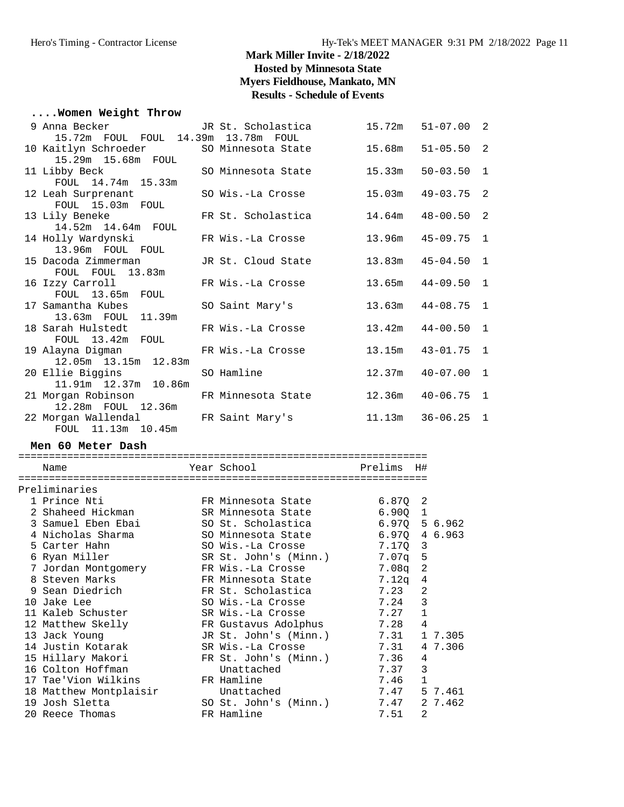#### **....Women Weight Throw**

| 9 Anna Becker and the San Section of the Section of the Section of the Section of the Section of the Section o | JR St. Scholastica | 15.72m | $51 - 07.00$ 2        |                |
|----------------------------------------------------------------------------------------------------------------|--------------------|--------|-----------------------|----------------|
| 15.72m FOUL FOUL 14.39m 13.78m FOUL                                                                            |                    |        |                       |                |
| 10 Kaitlyn Schroeder SO Minnesota State                                                                        |                    | 15.68m | $51 - 05.50$ 2        |                |
| 15.29m  15.68m  FOUL                                                                                           |                    |        |                       |                |
| 11 Libby Beck                                                                                                  | SO Minnesota State | 15.33m | $50 - 03.50$          | $\mathbf{1}$   |
| FOUL 14.74m 15.33m                                                                                             |                    |        |                       |                |
| 12 Leah Surprenant                                                                                             | SO Wis.-La Crosse  | 15.03m | $49 - 03.75$ 2        |                |
| FOUL 15.03m FOUL                                                                                               |                    |        |                       |                |
| 13 Lily Beneke                                                                                                 | FR St. Scholastica |        | $14.64m$ $48-00.50$ 2 |                |
| 14.52m  14.64m  FOUL                                                                                           |                    |        |                       |                |
| 14 Holly Wardynski                                                                                             | FR Wis.-La Crosse  | 13.96m | $45 - 09.75$          | $\overline{1}$ |
| 13.96m FOUL FOUL                                                                                               |                    |        |                       |                |
| 15 Dacoda Zimmerman                                                                                            | JR St. Cloud State |        | $13.83m$ $45-04.50$   | $\overline{1}$ |
| FOUL FOUL 13.83m                                                                                               |                    |        |                       |                |
| 16 Izzy Carroll                                                                                                | FR Wis.-La Crosse  |        | $13.65m$ $44-09.50$   | 1              |
| FOUL 13.65m FOUL                                                                                               |                    |        |                       |                |
| 17 Samantha Kubes                                                                                              | SO Saint Mary's    |        | $13.63m$ $44-08.75$   | 1              |
| 13.63m FOUL 11.39m                                                                                             |                    |        |                       |                |
| 18 Sarah Hulstedt                                                                                              | FR Wis.-La Crosse  |        | $13.42m$ $44-00.50$   | $\mathbf{1}$   |
| FOUL 13.42m FOUL                                                                                               |                    |        |                       |                |
| 19 Alayna Digman                                                                                               | FR Wis.-La Crosse  | 13.15m | $43 - 01.75$ 1        |                |
| 12.05m  13.15m  12.83m                                                                                         |                    |        |                       |                |
| 20 Ellie Biggins                                                                                               | SO Hamline         | 12.37m | $40 - 07.00$          | 1              |
| 11.91m  12.37m  10.86m                                                                                         |                    |        |                       |                |
| 21 Morgan Robinson 6 FR Minnesota State                                                                        |                    |        | $12.36m$ $40-06.75$ 1 |                |
| 12.28m FOUL 12.36m                                                                                             |                    |        |                       |                |
| 22 Morgan Wallendal GR Saint Mary's                                                                            |                    | 11.13m | $36 - 06.25$ 1        |                |
| FOUL 11.13m 10.45m                                                                                             |                    |        |                       |                |

**Men 60 Meter Dash**

=================================================================== Name Year School Prelims H# =================================================================== Preliminaries 1 Prince Nti FR Minnesota State 6.87Q 2 2 Shaheed Hickman SR Minnesota State 6.90Q 1 3 Samuel Eben Ebai SO St. Scholastica 6.97Q 5 6.962 4 Nicholas Sharma SO Minnesota State 6.97Q 4 6.963 5 Carter Hahn SO Wis.-La Crosse 7.17Q 3 6 Ryan Miller SR St. John's (Minn.) 7.07q 5 7 Jordan Montgomery FR Wis.-La Crosse 7.08q 2 8 Steven Marks FR Minnesota State 7.12q 4 9 Sean Diedrich FR St. Scholastica 7.23 2 10 Jake Lee SO Wis.-La Crosse 7.24 3 11 Kaleb Schuster SR Wis.-La Crosse 7.27 1 12 Matthew Skelly FR Gustavus Adolphus 7.28 4 13 Jack Young JR St. John's (Minn.) 7.31 1 7.305 14 Justin Kotarak SR Wis.-La Crosse 7.31 4 7.306 15 Hillary Makori FR St. John's (Minn.) 7.36 4 16 Colton Hoffman Unattached 7.37 3 17 Tae'Vion Wilkins FR Hamline 7.46 1 18 Matthew Montplaisir Unattached 7.47 5 7.461 19 Josh Sletta SO St. John's (Minn.) 7.47 2 7.462 20 Reece Thomas FR Hamline 7.51 2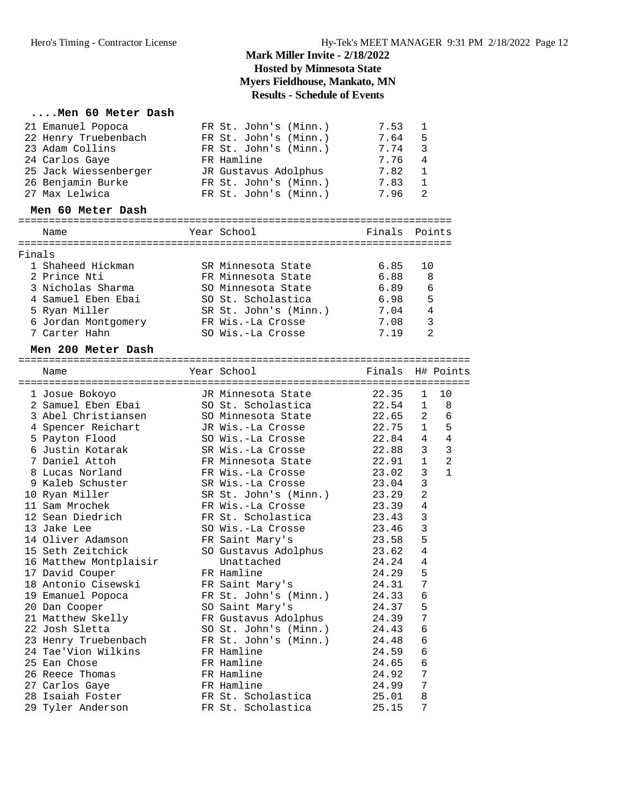#### **....Men 60 Meter Dash**

|        | 21 Emanuel Popoca      | FR St. John's (Minn.) | 7.53  | 1                   |
|--------|------------------------|-----------------------|-------|---------------------|
|        | 22 Henry Truebenbach   | FR St. John's (Minn.) | 7.64  | 5                   |
|        | 23 Adam Collins        | FR St. John's (Minn.) | 7.74  | 3                   |
|        | 24 Carlos Gaye         | FR Hamline            | 7.76  | 4                   |
|        | 25 Jack Wiessenberger  | JR Gustavus Adolphus  | 7.82  | 1                   |
|        | 26 Benjamin Burke      | FR St. John's (Minn.) | 7.83  | 1                   |
|        | 27 Max Lelwica         | FR St. John's (Minn.) | 7.96  | 2                   |
|        | Men 60 Meter Dash      |                       |       |                     |
|        |                        |                       |       |                     |
|        | Name                   | Year School           |       | Finals Points       |
| Finals |                        |                       |       |                     |
|        | 1 Shaheed Hickman      | SR Minnesota State    | 6.85  | 10                  |
|        | 2 Prince Nti           | FR Minnesota State    | 6.88  | 8                   |
|        | 3 Nicholas Sharma      | SO Minnesota State    | 6.89  | 6                   |
|        | 4 Samuel Eben Ebai     | SO St. Scholastica    | 6.98  | 5                   |
|        | 5 Ryan Miller          | SR St. John's (Minn.) | 7.04  | $\overline{4}$      |
|        | 6 Jordan Montgomery    | FR Wis.-La Crosse     | 7.08  | 3                   |
|        | 7 Carter Hahn          | SO Wis.-La Crosse     | 7.19  | $\overline{a}$      |
|        |                        |                       |       |                     |
|        | Men 200 Meter Dash     |                       |       |                     |
|        | Name                   | Year School           |       | Finals H# Points    |
|        |                        |                       |       |                     |
|        | 1 Josue Bokoyo         | JR Minnesota State    | 22.35 | 10<br>1             |
|        | 2 Samuel Eben Ebai     | SO St. Scholastica    | 22.54 | 1<br>8              |
|        | 3 Abel Christiansen    | SO Minnesota State    | 22.65 | 2<br>6              |
|        | 4 Spencer Reichart     | JR Wis.-La Crosse     | 22.75 | 5<br>$\mathbf{1}$   |
|        | 5 Payton Flood         | SO Wis.-La Crosse     | 22.84 | 4<br>4              |
|        | 6 Justin Kotarak       | SR Wis.-La Crosse     | 22.88 | $\mathbf{3}$<br>3   |
|        | 7 Daniel Attoh         | FR Minnesota State    | 22.91 | $\overline{2}$<br>1 |
|        | 8 Lucas Norland        | FR Wis.-La Crosse     | 23.02 | 3<br>1              |
|        | 9 Kaleb Schuster       | SR Wis.-La Crosse     | 23.04 | 3                   |
|        | 10 Ryan Miller         | SR St. John's (Minn.) | 23.29 | $\overline{2}$      |
|        | 11 Sam Mrochek         | FR Wis.-La Crosse     | 23.39 | 4                   |
|        | 12 Sean Diedrich       | FR St. Scholastica    | 23.43 | 3                   |
|        | 13 Jake Lee            | SO Wis.-La Crosse     | 23.46 | 3                   |
|        | 14 Oliver Adamson      | FR Saint Mary's       | 23.58 | 5                   |
|        | 15 Seth Zeitchick      | SO Gustavus Adolphus  | 23.62 | $\overline{4}$      |
|        | 16 Matthew Montplaisir | Unattached            | 24.24 | $\overline{4}$      |
|        | 17 David Couper        | FR Hamline            | 24.29 | 5                   |
|        | 18 Antonio Cisewski    | FR Saint Mary's       | 24.31 | 7                   |
|        | 19 Emanuel Popoca      | FR St. John's (Minn.) | 24.33 | 6                   |
|        | 20 Dan Cooper          | SO Saint Mary's       | 24.37 | 5                   |
|        | 21 Matthew Skelly      | FR Gustavus Adolphus  | 24.39 | 7                   |
|        | 22 Josh Sletta         | SO St. John's (Minn.) | 24.43 | 6                   |
|        | 23 Henry Truebenbach   | FR St. John's (Minn.) | 24.48 | 6                   |
|        | 24 Tae'Vion Wilkins    | FR Hamline            | 24.59 | 6                   |
|        | 25 Ean Chose           | FR Hamline            | 24.65 | 6                   |
|        | 26 Reece Thomas        | FR Hamline            | 24.92 | 7                   |
|        | 27 Carlos Gaye         | FR Hamline            | 24.99 | 7                   |
|        | 28 Isaiah Foster       | FR St. Scholastica    | 25.01 | 8                   |
|        | 29 Tyler Anderson      | FR St. Scholastica    | 25.15 | 7                   |
|        |                        |                       |       |                     |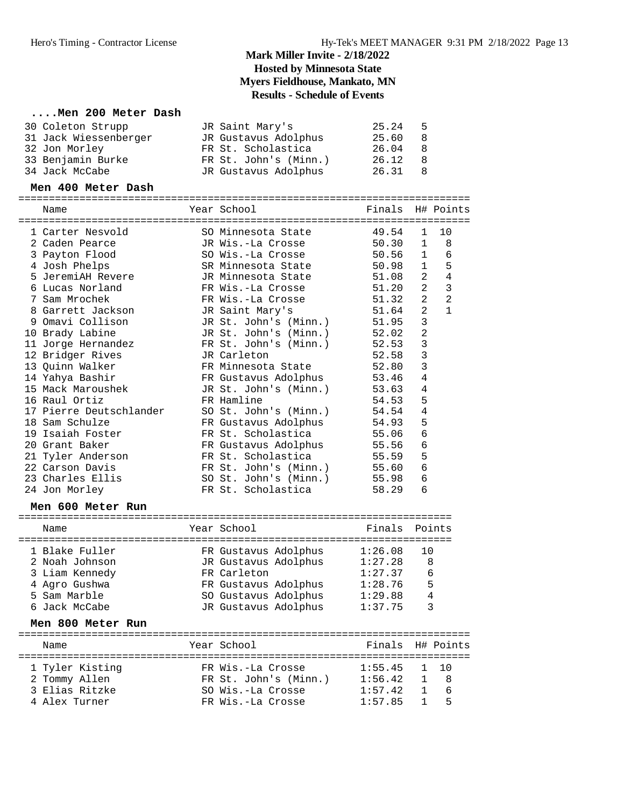#### **....Men 200 Meter Dash**

| 30 Coleton Strupp     | JR Saint Mary's       | 25.24 | - 5 |
|-----------------------|-----------------------|-------|-----|
| 31 Jack Wiessenberger | JR Gustavus Adolphus  | 25.60 | - 8 |
| 32 Jon Morley         | FR St. Scholastica    | 26.04 | - 8 |
| 33 Benjamin Burke     | FR St. John's (Minn.) | 26.12 | -8  |
| 34 Jack McCabe        | JR Gustavus Adolphus  | 26.31 | -8  |

#### **Men 400 Meter Dash**

==========================================================================

| Name                    | Year School             | Finals H# Points |                |                |
|-------------------------|-------------------------|------------------|----------------|----------------|
| 1 Carter Nesvold        | SO Minnesota State      | 49.54            | $\mathbf{1}$   | 10             |
| 2 Caden Pearce          | JR Wis.-La Crosse       | 50.30            | $\mathbf{1}$   | 8              |
| 3 Payton Flood          | SO Wis.-La Crosse       | 50.56            | $\mathbf{1}$   | 6              |
| 4 Josh Phelps           | SR Minnesota State      | 50.98            | $\mathbf{1}$   | 5              |
| 5 JeremiAH Revere       | JR Minnesota State      | 51.08            | 2              | $\overline{4}$ |
| 6 Lucas Norland         | FR Wis.-La Crosse       | 51.20            | $\overline{2}$ | 3              |
| 7 Sam Mrochek           | FR Wis.-La Crosse 51.32 |                  | 2              | $\overline{2}$ |
| 8 Garrett Jackson       | JR Saint Mary's         | 51.64            | 2              | $\mathbf{1}$   |
| 9 Omavi Collison        | JR St. John's (Minn.)   | 51.95            | 3              |                |
| 10 Brady Labine         | JR St. John's (Minn.)   | 52.02            | 2              |                |
| 11 Jorge Hernandez      | FR St. John's (Minn.)   | 52.53            | 3              |                |
| 12 Bridger Rives        | JR Carleton             | 52.58            | 3              |                |
| 13 Quinn Walker         | FR Minnesota State      | 52.80            | 3              |                |
| 14 Yahya Bashir         | FR Gustavus Adolphus    | 53.46            | 4              |                |
| 15 Mack Maroushek       | JR St. John's (Minn.)   | 53.63            | 4              |                |
| 16 Raul Ortiz           | FR Hamline              | 54.53            | 5              |                |
| 17 Pierre Deutschlander | SO St. John's (Minn.)   | 54.54            | 4              |                |
| 18 Sam Schulze          | FR Gustavus Adolphus    | 54.93            | 5              |                |
| 19 Isaiah Foster        | FR St. Scholastica      | 55.06            | 6              |                |
| 20 Grant Baker          | FR Gustavus Adolphus    | 55.56            | 6              |                |
| 21 Tyler Anderson       | FR St. Scholastica      | 55.59            | 5              |                |
| 22 Carson Davis         | FR St. John's (Minn.)   | 55.60            | 6              |                |
| 23 Charles Ellis        | SO St. John's (Minn.)   | 55.98            | 6              |                |
| 24 Jon Morley           | FR St. Scholastica      | 58.29            | 6              |                |

#### **Men 600 Meter Run**

| Name                                                                                                 | Year School                                                                                                                         | Finals Points                                                                                 |
|------------------------------------------------------------------------------------------------------|-------------------------------------------------------------------------------------------------------------------------------------|-----------------------------------------------------------------------------------------------|
| 1 Blake Fuller<br>2 Noah Johnson<br>3 Liam Kennedy<br>4 Agro Gushwa<br>5 Sam Marble<br>6 Jack McCabe | FR Gustavus Adolphus<br>JR Gustavus Adolphus<br>FR Carleton<br>FR Gustavus Adolphus<br>SO Gustavus Adolphus<br>JR Gustavus Adolphus | 1:26.08<br>10<br>8<br>1:27.28<br>1:27.37<br>6<br>5<br>1:28.76<br>4<br>1:29.88<br>3<br>1:37.75 |
| Men 800 Meter Run                                                                                    |                                                                                                                                     |                                                                                               |
| Name                                                                                                 | Year School                                                                                                                         | H# Points<br>Finals                                                                           |
| 1 Tyler Kisting<br>2 Tommy Allen                                                                     | FR Wis.-La Crosse<br>FR St. John's (Minn.)                                                                                          | 1:55.45<br>1:56.42<br>8                                                                       |

 3 Elias Ritzke SO Wis.-La Crosse 1:57.42 1 6 4 Alex Turner FR Wis.-La Crosse 1:57.85 1 5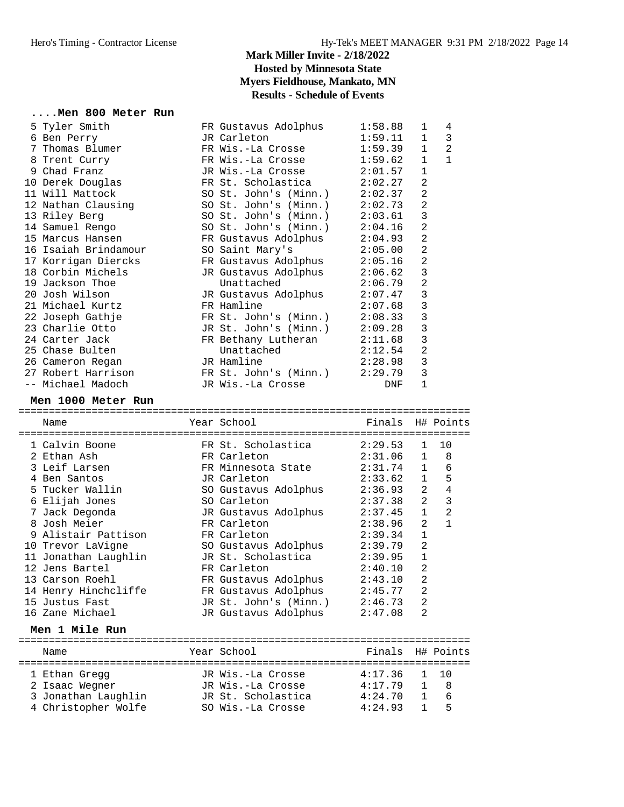# **....Men 800 Meter Run**<br>5 Tyler Smith

|  | 5 Tyler Smith        | FR Gustavus Adolphus            | 1:58.88    | $\mathbf{1}$   | 4              |
|--|----------------------|---------------------------------|------------|----------------|----------------|
|  | 6 Ben Perry          | JR Carleton                     | 1:59.11    | $\mathbf{1}$   | 3              |
|  | 7 Thomas Blumer      | FR Wis.-La Crosse               | 1:59.39    | $\mathbf{1}$   | $\overline{2}$ |
|  | 8 Trent Curry        | FR Wis.-La Crosse               | 1:59.62    | $\mathbf{1}$   | $\mathbf{1}$   |
|  | 9 Chad Franz         | JR Wis.-La Crosse 2:01.57       |            | $\mathbf{1}$   |                |
|  | 10 Derek Douglas     | FR St. Scholastica              | 2:02.27    | $\overline{2}$ |                |
|  | 11 Will Mattock      | SO St. John's $(Minn.)$ 2:02.37 |            | $\overline{2}$ |                |
|  | 12 Nathan Clausing   | SO St. John's (Minn.)           | 2:02.73    | $\overline{2}$ |                |
|  | 13 Riley Berg        | SO St. John's $(Minn.)$ 2:03.61 |            | 3              |                |
|  | 14 Samuel Rengo      | SO St. John's $(Minn.)$ 2:04.16 |            | $\overline{2}$ |                |
|  | 15 Marcus Hansen     | FR Gustavus Adolphus 2:04.93    |            | $\overline{2}$ |                |
|  | 16 Isaiah Brindamour | SO Saint Mary's 2:05.00         |            | $\overline{2}$ |                |
|  | 17 Korrigan Diercks  | FR Gustavus Adolphus 2:05.16    |            | $\overline{2}$ |                |
|  | 18 Corbin Michels    | JR Gustavus Adolphus            | 2:06.62    | 3              |                |
|  | 19 Jackson Thoe      | Unattached                      | 2:06.79    | $\overline{2}$ |                |
|  | 20 Josh Wilson       | JR Gustavus Adolphus            | 2:07.47    | 3              |                |
|  | 21 Michael Kurtz     | FR Hamline                      | 2:07.68    | 3              |                |
|  | 22 Joseph Gathje     | FR St. John's (Minn.)           | 2:08.33    | 3              |                |
|  | 23 Charlie Otto      | JR St. John's (Minn.) 2:09.28   |            | 3              |                |
|  | 24 Carter Jack       | FR Bethany Lutheran 2:11.68     |            | 3              |                |
|  | 25 Chase Bulten      | Unattached                      | 2:12.54    | $\overline{2}$ |                |
|  | 26 Cameron Regan     | JR Hamline                      | 2:28.98    | 3              |                |
|  | 27 Robert Harrison   | FR St. John's (Minn.) 2:29.79   |            | 3              |                |
|  | -- Michael Madoch    | JR Wis.-La Crosse               | <b>DNF</b> | 1              |                |
|  |                      |                                 |            |                |                |

#### **Men 1000 Meter Run**

========================================================================== Finals H# Points

| name                                        | rear scnooi                                 | Finais  |                | H# POINUS      |
|---------------------------------------------|---------------------------------------------|---------|----------------|----------------|
| =========================<br>1 Calvin Boone | =====================<br>FR St. Scholastica | 2:29.53 | $\mathbf{1}$   | 10             |
| 2 Ethan Ash                                 | FR Carleton                                 | 2:31.06 | $\mathbf{1}$   | 8              |
| 3 Leif Larsen                               | FR Minnesota State                          | 2:31.74 | $\mathbf{1}$   | 6              |
| 4 Ben Santos                                | JR Carleton                                 | 2:33.62 | $\mathbf{1}$   | 5              |
| 5 Tucker Wallin                             | SO Gustavus Adolphus                        | 2:36.93 | $\mathfrak{D}$ | 4              |
| 6 Elijah Jones                              | SO Carleton                                 | 2:37.38 | $\mathfrak{D}$ | 3              |
| 7 Jack Degonda                              | JR Gustavus Adolphus                        | 2:37.45 | $\mathbf{1}$   | $\overline{2}$ |
| 8 Josh Meier                                | FR Carleton                                 | 2:38.96 | $\mathfrak{D}$ |                |
| 9 Alistair Pattison                         | FR Carleton                                 | 2:39.34 | $\mathbf{1}$   |                |
| 10 Trevor LaVigne                           | SO Gustavus Adolphus                        | 2:39.79 | 2              |                |
| 11 Jonathan Laughlin                        | JR St. Scholastica                          | 2:39.95 | $\mathbf{1}$   |                |
| 12 Jens Bartel                              | FR Carleton                                 | 2:40.10 | $\overline{2}$ |                |
| 13 Carson Roehl                             | FR Gustavus Adolphus                        | 2:43.10 | $\overline{2}$ |                |
| 14 Henry Hinchcliffe                        | FR Gustavus Adolphus                        | 2:45.77 | $\overline{2}$ |                |
| 15 Justus Fast                              | JR St. John's (Minn.) 2:46.73               |         | $\overline{2}$ |                |
| 16 Zane Michael                             | JR Gustavus Adolphus                        | 2:47.08 | $\overline{2}$ |                |
| Men 1 Mile Run                              |                                             |         |                |                |
|                                             |                                             |         |                |                |

| Name                | Year School        | Finals H# Points |              |            |
|---------------------|--------------------|------------------|--------------|------------|
| 1 Ethan Gregg       | JR Wis.-La Crosse  | $4:17.36$ 1 10   |              |            |
| 2 Isaac Wegner      | JR Wis.-La Crosse  | 4:17.79          |              | 1 R        |
| 3 Jonathan Laughlin | JR St. Scholastica | 4:24.70          |              | $1\quad 6$ |
| 4 Christopher Wolfe | SO Wis.-La Crosse  | 4:24.93          | $\mathbf{1}$ | -5         |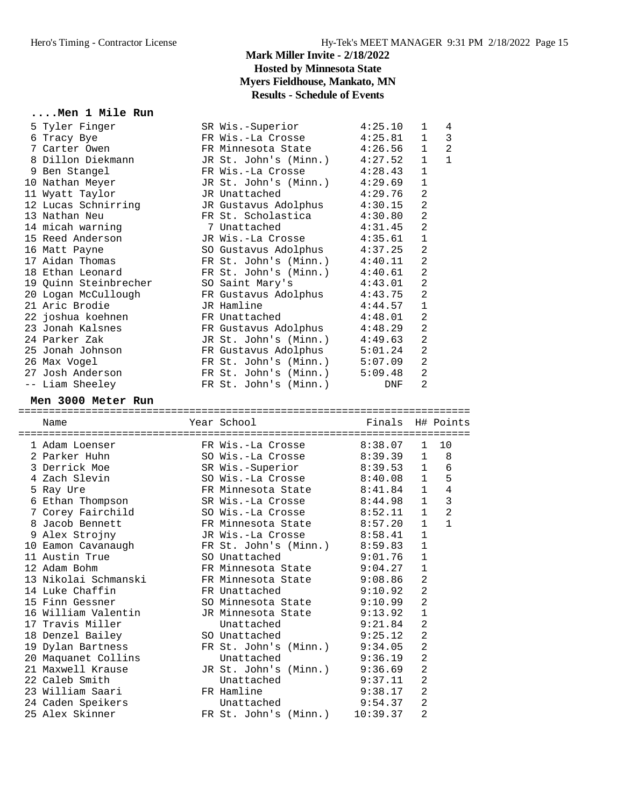#### **....Men 1 Mile Run**

| 5 Tyler Finger        | SR Wis.-Superior                | 4:25.10 | $\mathbf{1}$   | 4            |
|-----------------------|---------------------------------|---------|----------------|--------------|
| 6 Tracy Bye           | FR Wis.-La Crosse 4:25.81       |         | $\mathbf{1}$   | 3            |
| 7 Carter Owen         | FR Minnesota State 4:26.56      |         | $\mathbf{1}$   | 2            |
| 8 Dillon Diekmann     | JR St. John's (Minn.) 4:27.52   |         | $\mathbf{1}$   | $\mathbf{1}$ |
| 9 Ben Stangel         | FR Wis.-La Crosse 4:28.43       |         | $\mathbf{1}$   |              |
| 10 Nathan Meyer       | JR St. John's (Minn.) 4:29.69   |         | $\mathbf{1}$   |              |
| 11 Wyatt Taylor       | JR Unattached 4:29.76           |         | 2              |              |
| 12 Lucas Schnirring   | JR Gustavus Adolphus 4:30.15    |         | $\overline{2}$ |              |
| 13 Nathan Neu         | FR St. Scholastica              | 4:30.80 | $\overline{a}$ |              |
| 14 micah warning      | 7 Unattached 4:31.45            |         | $\overline{a}$ |              |
| 15 Reed Anderson      | JR Wis.-La Crosse 4:35.61       |         | $\mathbf{1}$   |              |
| 16 Matt Payne         | SO Gustavus Adolphus 4:37.25    |         | $\overline{2}$ |              |
| 17 Aidan Thomas       | FR St. John's (Minn.)           | 4:40.11 | $\overline{a}$ |              |
| 18 Ethan Leonard      | FR St. John's $(Minn.)$ 4:40.61 |         | $\overline{a}$ |              |
| 19 Quinn Steinbrecher | SO Saint Mary's 4:43.01         |         | $\overline{a}$ |              |
| 20 Logan McCullough   | FR Gustavus Adolphus 4:43.75    |         | $\overline{2}$ |              |
| 21 Aric Brodie        | JR Hamline                      | 4:44.57 | $\mathbf{1}$   |              |
| 22 joshua koehnen     | FR Unattached 4:48.01           |         | $\overline{a}$ |              |
| 23 Jonah Kalsnes      | FR Gustavus Adolphus 4:48.29    |         | 2              |              |
| 24 Parker Zak         | JR St. John's (Minn.) 4:49.63   |         | $\overline{2}$ |              |
| 25 Jonah Johnson      | FR Gustavus Adolphus 5:01.24    |         | 2              |              |
| 26 Max Vogel          | FR St. John's (Minn.) 5:07.09   |         | $\overline{a}$ |              |
| 27 Josh Anderson      | FR St. John's $(Minn.)$ 5:09.48 |         | $\overline{2}$ |              |
| -- Liam Sheeley       | FR St. John's (Minn.)           | DNF     | 2              |              |
|                       |                                 |         |                |              |

#### **Men 3000 Meter Run**

========================================================================== Name The School Team School (Finals H# Points ==========================================================================

| 1 Adam Loenser                       | FR Wis.-La Crosse 8:38.07     |          | $\mathbf{1}$   | 10             |
|--------------------------------------|-------------------------------|----------|----------------|----------------|
| 2 Parker Huhn                        | SO Wis.-La Crosse 8:39.39     |          | $\mathbf{1}$   | 8              |
| 3 Derrick Moe                        | SR Wis.-Superior 8:39.53 1    |          |                | 6              |
| 4 Zach Slevin                        | SO Wis.-La Crosse 8:40.08     |          | $\mathbf{1}$   | 5              |
| 5 Ray Ure                            | FR Minnesota State 8:41.84    |          | $\mathbf{1}$   | 4              |
| 6 Ethan Thompson                     | SR Wis.-La Crosse 8:44.98     |          | $\mathbf{1}$   | 3              |
| 7 Corey Fairchild                    | SO Wis.-La Crosse 8:52.11     |          | $\mathbf{1}$   | $\overline{2}$ |
| 8 Jacob Bennett                      | FR Minnesota State 8:57.20    |          | $\mathbf{1}$   | $\mathbf{1}$   |
| 9 Alex Strojny                       | JR Wis.-La Crosse 8:58.41     |          | $\mathbf{1}$   |                |
|                                      | FR St. John's (Minn.) 8:59.83 |          | $\mathbf{1}$   |                |
| 10 Eamon Cavanaugh<br>11 Austin True | SO Unattached 9:01.76         |          | $\mathbf{1}$   |                |
| 12 Adam Bohm                         | FR Minnesota State 9:04.27    |          | $\mathbf{1}$   |                |
| 13 Nikolai Schmanski                 | FR Minnesota State 9:08.86    |          | 2              |                |
| 14 Luke Chaffin                      | FR Unattached                 | 9:10.92  | $\overline{2}$ |                |
| 15 Finn Gessner                      | SO Minnesota State 9:10.99    |          | $\overline{2}$ |                |
| 16 William Valentin                  | JR Minnesota State 9:13.92    |          | $\mathbf{1}$   |                |
| 17 Travis Miller                     | Unattached                    | 9:21.84  | $\overline{2}$ |                |
| 18 Denzel Bailey                     | SO Unattached 9:25.12         |          | $\overline{2}$ |                |
| 19 Dylan Bartness                    | FR St. John's (Minn.) 9:34.05 |          | $\overline{2}$ |                |
| 20 Maquanet Collins                  | Unattached 9:36.19            |          | $\overline{2}$ |                |
| 21 Maxwell Krause                    | JR St. John's (Minn.) 9:36.69 |          | $\overline{a}$ |                |
| 22 Caleb Smith                       | Unattached                    | 9:37.11  | $\overline{2}$ |                |
| 23 William Saari                     | FR Hamline                    | 9:38.17  | $\overline{2}$ |                |
| 24 Caden Speikers                    | Unattached                    | 9:54.37  | $\overline{2}$ |                |
| 25 Alex Skinner                      | FR St. John's (Minn.)         | 10:39.37 | $\overline{2}$ |                |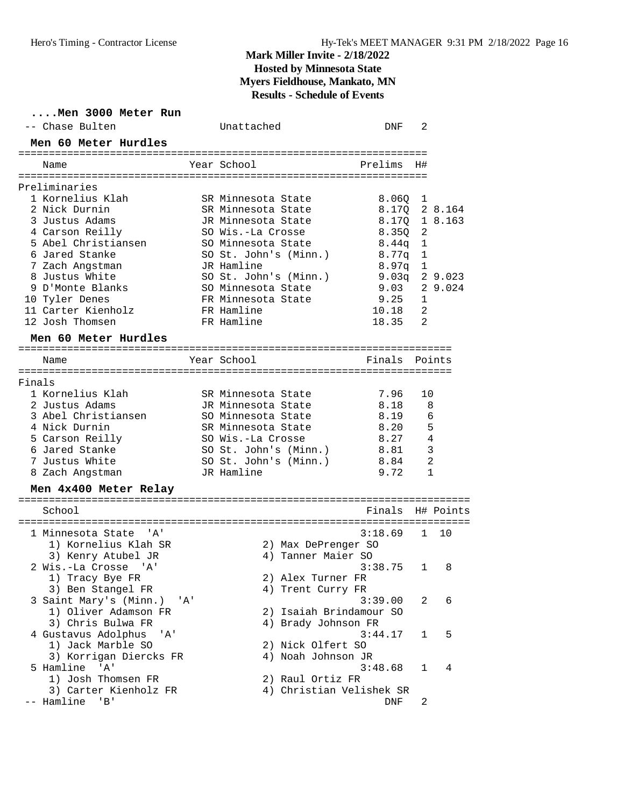|        | Men 3000 Meter Run<br>-- Chase Bulten           | Unattached                              | DNF                      | 2              |              |
|--------|-------------------------------------------------|-----------------------------------------|--------------------------|----------------|--------------|
|        | Men 60 Meter Hurdles                            |                                         |                          |                |              |
|        | Name                                            | Year School                             | Prelims                  | H#             |              |
|        | Preliminaries                                   |                                         |                          |                |              |
|        | 1 Kornelius Klah                                | SR Minnesota State                      | 8.060                    | 1              |              |
|        | 2 Nick Durnin                                   | SR Minnesota State                      | 8.170                    |                | 2 8.164      |
|        | 3 Justus Adams                                  | JR Minnesota State                      | 8.17Q                    |                | 1 8.163      |
|        | 4 Carson Reilly                                 | SO Wis.-La Crosse                       | 8.350                    | 2              |              |
|        | 5 Abel Christiansen                             | SO Minnesota State                      | 8.44q                    | 1              |              |
|        | 6 Jared Stanke                                  | SO St. John's (Minn.)                   | 8.77q                    | 1              |              |
|        | 7 Zach Angstman<br>8 Justus White               | JR Hamline<br>SO St. John's (Minn.)     | 8.97q<br>$9.03q$ 2 9.023 | 1              |              |
|        | 9 D'Monte Blanks                                | SO Minnesota State                      | 9.03                     |                | 2 9.024      |
|        | 10 Tyler Denes                                  | FR Minnesota State                      | 9.25                     | 1              |              |
|        | 11 Carter Kienholz                              | FR Hamline                              | 10.18                    | 2              |              |
|        | 12 Josh Thomsen                                 | FR Hamline                              | 18.35                    | 2              |              |
|        | Men 60 Meter Hurdles                            |                                         |                          |                |              |
|        |                                                 |                                         |                          |                |              |
|        | Name                                            | Year School                             | Finals                   |                | Points       |
| Finals |                                                 |                                         |                          |                |              |
|        | 1 Kornelius Klah                                | SR Minnesota State                      | 7.96                     | 10             |              |
|        | 2 Justus Adams                                  | JR Minnesota State                      | 8.18                     | 8              |              |
|        | 3 Abel Christiansen                             | SO Minnesota State                      | 8.19                     | 6              |              |
|        | 4 Nick Durnin                                   | SR Minnesota State                      | 8.20                     | 5              |              |
|        | 5 Carson Reilly                                 | SO Wis.-La Crosse                       | 8.27                     |                | 4            |
|        | 6 Jared Stanke                                  | SO St. John's (Minn.)                   | 8.81                     | 3              |              |
|        | 7 Justus White                                  | SO St. John's (Minn.)                   | 8.84                     | $\overline{2}$ |              |
|        | 8 Zach Angstman                                 | JR Hamline                              | 9.72                     |                | $\mathbf{1}$ |
|        | Men 4x400 Meter Relay                           |                                         |                          |                |              |
|        | School                                          |                                         | Finals                   |                | H# Points    |
|        | 1 Minnesota State<br>" A '                      |                                         | 3:18.69                  | $\mathbf{1}$   | 10           |
|        | 1) Kornelius Klah SR                            | 2) Max DePrenger SO                     |                          |                |              |
|        | 3) Kenry Atubel JR                              | 4) Tanner Maier SO                      |                          |                |              |
|        | 2 Wis.-La Crosse 'A'                            |                                         | 3:38.75                  | $\mathbf 1$    | 8            |
|        | 1) Tracy Bye FR                                 | 2) Alex Turner FR                       |                          |                |              |
|        | 3) Ben Stangel FR                               | 4) Trent Curry FR                       |                          |                |              |
|        | 3 Saint Mary's (Minn.) 'A'                      |                                         | 3:39.00                  | 2              | 6            |
|        | 1) Oliver Adamson FR                            | 2) Isaiah Brindamour SO                 |                          |                |              |
|        | 3) Chris Bulwa FR                               | 4) Brady Johnson FR                     |                          |                |              |
|        | 4 Gustavus Adolphus<br>'A'<br>1) Jack Marble SO |                                         | 3:44.17                  | 1              | 5            |
|        | 3) Korrigan Diercks FR                          | 2) Nick Olfert SO<br>4) Noah Johnson JR |                          |                |              |
|        | 5 Hamline 'A'                                   |                                         | 3:48.68                  | 1              | 4            |
|        | 1) Josh Thomsen FR                              | 2) Raul Ortiz FR                        |                          |                |              |
|        | 3) Carter Kienholz FR                           | 4) Christian Velishek SR                |                          |                |              |
|        | -- Hamline<br>'B'                               |                                         | DNF                      | 2              |              |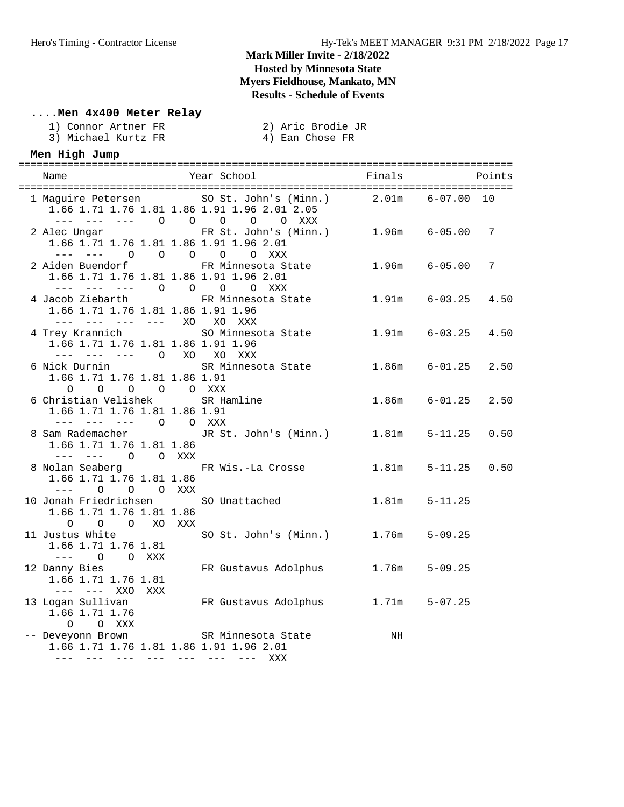#### **....Men 4x400 Meter Relay**

- 3) Michael Kurtz FR
- 2) Aric Brodie JR<br>4) Ean Chose FR

#### **Men High Jump**

| Name                                                                                                                                                    | Year School Finals                    |                   | Points                   |
|---------------------------------------------------------------------------------------------------------------------------------------------------------|---------------------------------------|-------------------|--------------------------|
| 1 Maguire Petersen SO St. John's (Minn.) 2.01m 6-07.00 10<br>1.66 1.71 1.76 1.81 1.86 1.91 1.96 2.01 2.05<br>--- --- --- 0 0 0 0 0 XXX                  |                                       |                   |                          |
| 2 Alec Ungar<br>1.66 1.71 1.76 1.81 1.86 1.91 1.96 2.01<br>--- --- 0 0 0 0 0 XXX                                                                        | FR St. John's (Minn.) 1.96m 6-05.00 7 |                   |                          |
| 2 Aiden Buendorf 6-05.00 FR Minnesota State 1.96m 6-05.00<br>1.66 1.71 1.76 1.81 1.86 1.91 1.96 2.01<br>--- --- --- 0 0 0 0 XXX                         |                                       |                   | 7                        |
| 4 Jacob Ziebarth<br>1.66 1.71 1.76 1.81 1.86 1.91 1.96<br>--- --- --- --- XO XO XXX                                                                     | FR Minnesota State 1.91m 6-03.25 4.50 |                   |                          |
| 4 Trey Krannich SO Minnesota State 1.91m 6-03.25 4.50<br>1.66 1.71 1.76 1.81 1.86 1.91 1.96<br>--- --- --- 0 XO XO XXX                                  |                                       |                   |                          |
| 6 Nick Durnin<br>1.66 1.71 1.76 1.81 1.86 1.91                                                                                                          | SR Minnesota State 1.86m 6-01.25      |                   | 2.50                     |
| $\begin{matrix} 0 & 0 & 0 & 0 & 0 & \text{XXX} \end{matrix}$<br>6 Christian Velishek SR Hamline<br>1.66 1.71 1.76 1.81 1.86 1.91<br>--- --- --- 0 0 XXX |                                       |                   | 1.86m 6-01.25 2.50       |
| 8 Sam Rademacher<br>1.66 1.71 1.76 1.81 1.86<br>--- --- 0 0 XXX                                                                                         | JR St. John's (Minn.) 1.81m 5-11.25   |                   | 0.50                     |
| 8 Nolan Seaberg TR Wis.-La Crosse<br>1.66 1.71 1.76 1.81 1.86<br>$---$ 0 0 0 XXX                                                                        |                                       |                   | $1.81m$ $5-11.25$ $0.50$ |
| 10 Jonah Friedrichsen SO Unattached<br>1.66 1.71 1.76 1.81 1.86<br>O O O XO XXX                                                                         |                                       | $1.81m$ $5-11.25$ |                          |
| 11 Justus White SO St. John's (Minn.) 1.76m 5-09.25<br>1.66 1.71 1.76 1.81<br>$---$ 0 0 XXX                                                             |                                       |                   |                          |
| 12 Danny Bies<br>1.66 1.71 1.76 1.81<br>--- --- XXO XXX                                                                                                 | FR Gustavus Adolphus 1.76m            |                   | $5 - 09.25$              |
| 13 Logan Sullivan Mark R Gustavus Adolphus 1.71m 5-07.25<br>1.66 1.71 1.76                                                                              |                                       |                   |                          |
| 0 0 XXX<br>-- Deveyonn Brown               SR Minnesota State<br>1.66 1.71 1.76 1.81 1.86 1.91 1.96 2.01<br>--- --- --- --- --- --- --- XXX             |                                       | NH                |                          |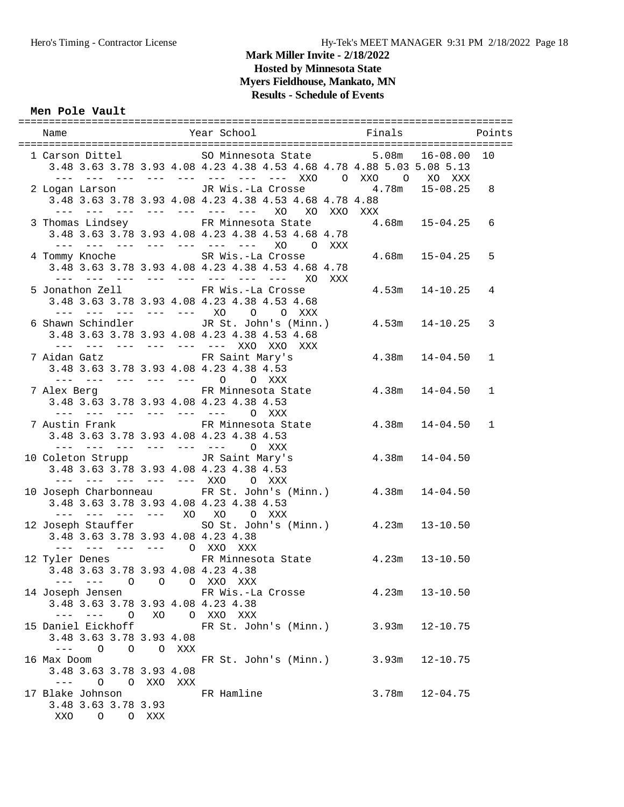#### **Men Pole Vault**

| Name                                                            | <b>Example 2</b> Year School <b>Example 2 Service School</b> Points                                                                                           |                    |             |
|-----------------------------------------------------------------|---------------------------------------------------------------------------------------------------------------------------------------------------------------|--------------------|-------------|
|                                                                 | 1 Carson Dittel 5.08m 16-08.00<br>3.48 3.63 3.78 3.93 4.08 4.23 4.38 4.53 4.68 4.78 4.88 5.03 5.08 5.13<br>--- --- --- --- --- --- --- --- XXO 0 XXO 0 XO XXX |                    | 10          |
|                                                                 | 2 Logan Larson             JR Wis.-La Crosse           4.78m   15-08.25<br>3.48 3.63 3.78 3.93 4.08 4.23 4.38 4.53 4.68 4.78 4.88                             |                    | 8           |
|                                                                 | 3 Thomas Lindsey FR Minnesota State 4.68m 15-04.25<br>3.48 3.63 3.78 3.93 4.08 4.23 4.38 4.53 4.68 4.78<br>--- --- --- --- --- --- --- XO O XXX               |                    | 6           |
|                                                                 | 4 Tommy Knoche SR Wis.-La Crosse<br>3.48 3.63 3.78 3.93 4.08 4.23 4.38 4.53 4.68 4.78<br>--- --- --- --- --- --- --- --- XO XXX                               | $4.68m$ $15-04.25$ | 5           |
|                                                                 | 5 Jonathon Zell FR Wis.-La Crosse<br>3.48 3.63 3.78 3.93 4.08 4.23 4.38 4.53 4.68<br>--- --- --- --- --- XO O O XXX                                           | $4.53m$ $14-10.25$ | 4           |
|                                                                 | 6 Shawn Schindler JR St. John's (Minn.) 4.53m 14-10.25<br>3.48 3.63 3.78 3.93 4.08 4.23 4.38 4.53 4.68<br>--- --- --- --- --- --- xx0 xx0 xxx                 |                    | 3           |
|                                                                 | 7 Aidan Gatz                         FR Saint Mary's<br>3.48 3.63 3.78 3.93 4.08 4.23 4.38 4.53<br>--- --- --- --- --- 0 0 XXX                                | $4.38m$ $14-04.50$ | 1           |
|                                                                 | 7 Alex Berg 61 FR Minnesota State 4.38m 14-04.50<br>3.48 3.63 3.78 3.93 4.08 4.23 4.38 4.53<br>--- --- --- --- --- --- 0 XXX                                  |                    | 1           |
|                                                                 | 7 Austin Frank FR Minnesota State 4.38m 14-04.50<br>3.48 3.63 3.78 3.93 4.08 4.23 4.38 4.53<br>$-- -- -- -- -- 0$ XXX                                         |                    | $\mathbf 1$ |
|                                                                 | 10 Coleton Strupp TR Saint Mary's<br>3.48 3.63 3.78 3.93 4.08 4.23 4.38 4.53<br>--- --- --- --- --- XXO O XXX                                                 | $4.38m$ $14-04.50$ |             |
|                                                                 | 10 Joseph Charbonneau FR St. John's (Minn.) 4.38m 14-04.50<br>3.48 3.63 3.78 3.93 4.08 4.23 4.38 4.53<br>--- --- --- --- XO XO O XXX                          |                    |             |
| 3.48 3.63 3.78 3.93 4.08 4.23 4.38<br>--- --- --- --- O XXO XXX | 12 Joseph Stauffer So St. John's (Minn.) 4.23m 13-10.50                                                                                                       |                    |             |
| 3.48 3.63 3.78 3.93 4.08 4.23 4.38<br>--- --- 0 0 0 XXO XXX     | 12 Tyler Denes FR Minnesota State 4.23m 13-10.50                                                                                                              |                    |             |
| 3.48 3.63 3.78 3.93 4.08 4.23 4.38<br>--- --- 0 XO 0 XXO XXX    | 14 Joseph Jensen Marketter Brand FR Wis.-La Crosse 3.23m 13-10.50                                                                                             |                    |             |
| 3.48 3.63 3.78 3.93 4.08<br>--- 0 0 0 XXX                       | 15 Daniel Eickhoff FR St. John's (Minn.) 3.93m 12-10.75                                                                                                       |                    |             |
| 16 Max Doom<br>3.48 3.63 3.78 3.93 4.08<br>--- 0 0 XXO XXX      | FR St. John's (Minn.)                                                                                                                                         | $3.93m$ $12-10.75$ |             |
| 17 Blake Johnson<br>3.48 3.63 3.78 3.93<br>XXO O O XXX          | FR Hamline                                                                                                                                                    | $3.78m$ $12-04.75$ |             |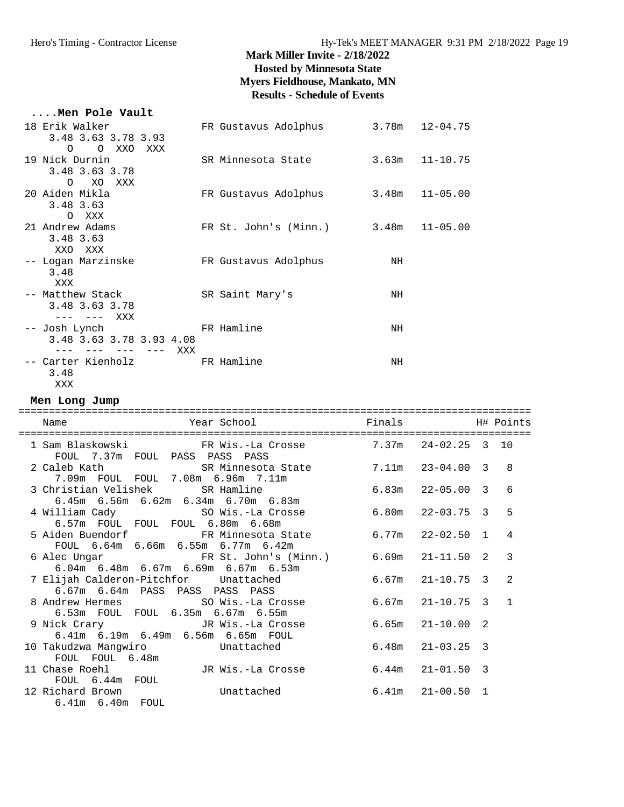| Men Pole Vault                                                  |                                      |                    |
|-----------------------------------------------------------------|--------------------------------------|--------------------|
| 18 Erik Walker<br>3.48 3.63 3.78 3.93                           | FR Gustavus Adolphus 3.78m 12-04.75  |                    |
| O OXXOXXX<br>19 Nick Durnin<br>3.48 3.63 3.78                   | SR Minnesota State                   | $3.63m$ $11-10.75$ |
| O XO XXX<br>20 Aiden Mikla<br>3.48 3.63                         | FR Gustavus Adolphus 3.48m 11-05.00  |                    |
| O XXX<br>21 Andrew Adams<br>3.48 3.63                           | FR St. John's (Minn.) 3.48m 11-05.00 |                    |
| XXO XXX<br>-- Logan Marzinske<br>3.48                           | FR Gustavus Adolphus                 | NH                 |
| XXX<br>-- Matthew Stack<br>3.48 3.63 3.78                       | SR Saint Mary's                      | NH                 |
| --- --- XXX<br>-- Josh Lynch<br>3.48 3.63 3.78 3.93 4.08        | FR Hamline                           | NH                 |
| ——— ——— ——— XXX<br>-- Carter Kienholz FR Hamline<br>3.48<br>XXX |                                      | NH                 |

**Men Long Jump**

| Year School Finals Finals H# Points<br>Name                                                                                               |                      |                |
|-------------------------------------------------------------------------------------------------------------------------------------------|----------------------|----------------|
|                                                                                                                                           |                      |                |
| 1 Sam Blaskowski KR Wis.-La Crosse 3 7.37m 24-02.25 3 10<br>FOUL 7.37m FOUL PASS PASS PASS                                                |                      |                |
| 2 Caleb Kath                 SR Minnesota State           7.11m   23-04.00   3                                                            |                      | $\mathsf{R}$   |
| 7.09m FOUL FOUL 7.08m 6.96m 7.11m                                                                                                         |                      |                |
| 3 Christian Velishek SR Hamline 6.83m 22-05.00 3                                                                                          |                      | 6              |
| $6.45$ m $6.56$ m $6.62$ m $6.34$ m $6.70$ m $6.83$ m                                                                                     |                      |                |
| 4 William Cady SO Wis.-La Crosse 6.80m 22-03.75 3                                                                                         |                      | 5              |
| 6.57m FOUL FOUL FOUL 6.80m 6.68m                                                                                                          |                      |                |
| 5 Aiden Buendorf 6.77m 22-02.50 1                                                                                                         |                      | $\overline{4}$ |
| FOUL 6.64m 6.66m 6.55m 6.77m 6.42m                                                                                                        |                      |                |
| 6 Alec Ungar TR St. John's (Minn.) 6.69m 21-11.50 2                                                                                       |                      | 3              |
| $6.04m$ 6.48m 6.67m 6.69m 6.67m 6.53m                                                                                                     |                      |                |
| 7 Elijah Calderon-Pitchfor Unattached                                                                                                     | $6.67m$ $21-10.75$ 3 | $\mathfrak{D}$ |
| 6.67m 6.64m PASS PASS PASS PASS                                                                                                           |                      |                |
| 8 Andrew Hermes SO Wis.-La Crosse 6.67m 21-10.75 3 1                                                                                      |                      |                |
| 6.53m FOUL FOUL 6.35m 6.67m 6.55m                                                                                                         |                      |                |
| 9 Nick Crary                         JR Wis.-La Crosse               6.65m   21-10.00   2<br>6.41m   6.19m   6.49m   6.56m   6.65m   FOUL |                      |                |
|                                                                                                                                           |                      |                |
| 10 Takudzwa Mangwiro Mattached                                                                                                            | $6.48m$ $21-03.25$ 3 |                |
| FOUL FOUL 6.48m                                                                                                                           |                      |                |
| 11 Chase Roehl               JR Wis.-La Crosse           6.44m   21-01.50   3                                                             |                      |                |
| FOUL 6.44m FOUL                                                                                                                           |                      |                |
| 12 Richard Brown Contract Unattached<br>$6.41m$ $21-00.50$ 1                                                                              |                      |                |
|                                                                                                                                           |                      |                |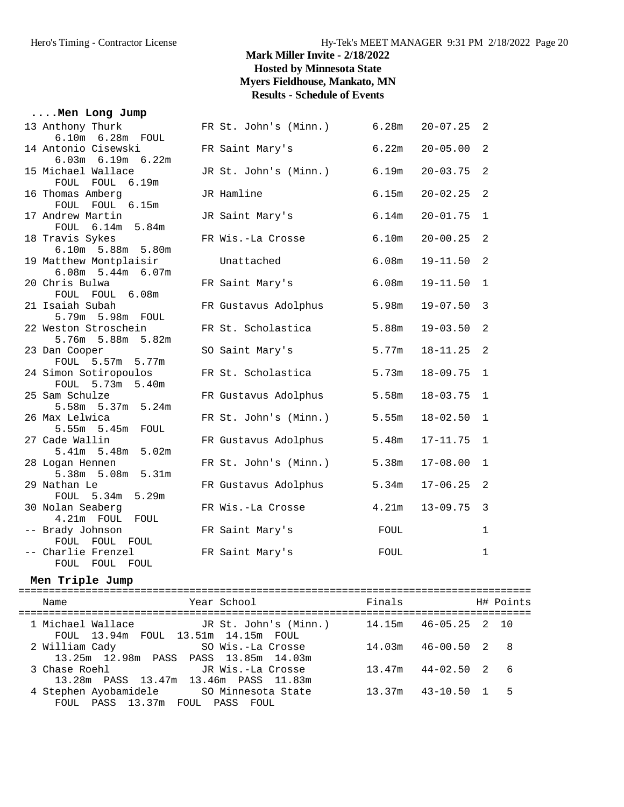| Men Long Jump                                                    |                             |       |              |                |
|------------------------------------------------------------------|-----------------------------|-------|--------------|----------------|
| 13 Anthony Thurk<br>6.10m  6.28m  FOUL                           | FR St. John's (Minn.) 6.28m |       | $20 - 07.25$ | 2              |
| 14 Antonio Cisewski                                              | FR Saint Mary's             | 6.22m | $20 - 05.00$ | 2              |
| 6.03m 6.19m 6.22m<br>15 Michael Wallace                          | JR St. John's (Minn.)       | 6.19m | $20 - 03.75$ | 2              |
| FOUL FOUL 6.19m<br>16 Thomas Amberg                              | JR Hamline                  | 6.15m | $20 - 02.25$ | 2              |
| FOUL FOUL 6.15m                                                  |                             |       |              |                |
| 17 Andrew Martin<br>FOUL 6.14m 5.84m                             | JR Saint Mary's             | 6.14m | $20 - 01.75$ | 1              |
| 18 Travis Sykes                                                  | FR Wis.-La Crosse           | 6.10m | $20 - 00.25$ | $\overline{2}$ |
| 6.10m 5.88m 5.80m<br>19 Matthew Montplaisir<br>6.08m 5.44m 6.07m | Unattached                  | 6.08m | 19-11.50     | 2              |
| 20 Chris Bulwa<br>FOUL FOUL 6.08m                                | FR Saint Mary's             | 6.08m | $19 - 11.50$ | 1              |
| 21 Isaiah Subah<br>5.79m 5.98m FOUL                              | FR Gustavus Adolphus        | 5.98m | $19 - 07.50$ | 3              |
| 22 Weston Stroschein<br>5.76m 5.88m 5.82m                        | FR St. Scholastica          | 5.88m | $19 - 03.50$ | 2              |
| 23 Dan Cooper<br>FOUL 5.57m 5.77m                                | SO Saint Mary's             | 5.77m | $18 - 11.25$ | 2              |
| 24 Simon Sotiropoulos<br>FOUL 5.73m 5.40m                        | FR St. Scholastica          | 5.73m | $18 - 09.75$ | $\mathbf{1}$   |
| 25 Sam Schulze<br>5.58m 5.37m 5.24m                              | FR Gustavus Adolphus        | 5.58m | $18 - 03.75$ | 1              |
| 26 Max Lelwica<br>$5.55m$ $5.45m$<br>FOUL                        | FR St. John's (Minn.)       | 5.55m | $18 - 02.50$ | $\mathbf{1}$   |
| 27 Cade Wallin<br>5.41m 5.48m 5.02m                              | FR Gustavus Adolphus        | 5.48m | $17 - 11.75$ | 1              |
| 28 Logan Hennen<br>5.38m 5.08m<br>5.31m                          | FR St. John's (Minn.)       | 5.38m | $17 - 08.00$ | $\mathbf{1}$   |
| 29 Nathan Le<br>5.29m<br>FOUL 5.34m                              | FR Gustavus Adolphus        | 5.34m | $17 - 06.25$ | 2              |
| 30 Nolan Seaberg<br>4.21m FOUL FOUL                              | FR Wis.-La Crosse           | 4.21m | $13 - 09.75$ | 3              |
| -- Brady Johnson<br>FOUL FOUL FOUL                               | FR Saint Mary's             | FOUL  |              | 1              |
| -- Charlie Frenzel<br>FOUL FOUL<br>FOUL                          | FR Saint Mary's             | FOUL  |              | 1              |

#### **Men Triple Jump**

| Year School<br>Name                                                             | Finals | H# Points           |
|---------------------------------------------------------------------------------|--------|---------------------|
| 1 Michael Wallace TR St. John's (Minn.)<br>FOUL 13.94m FOUL 13.51m 14.15m FOUL  | 14.15m | 46-05.25 2 10       |
| 2 William Cady<br>SO Wis.-La Crosse<br>13.25m 12.98m PASS PASS 13.85m 14.03m    | 14.03m | $46 - 00.50$ 2 8    |
| 3 Chase Roehl<br>JR Wis.-La Crosse<br>13.28m PASS 13.47m 13.46m PASS 11.83m     | 13.47m | 44-02.50 2<br>- 6   |
| 4 Stephen Ayobamidele SO Minnesota State<br>PASS 13.37m FOUL PASS FOUL<br>FOUL. | 13.37m | $43 - 10.50$ 1<br>5 |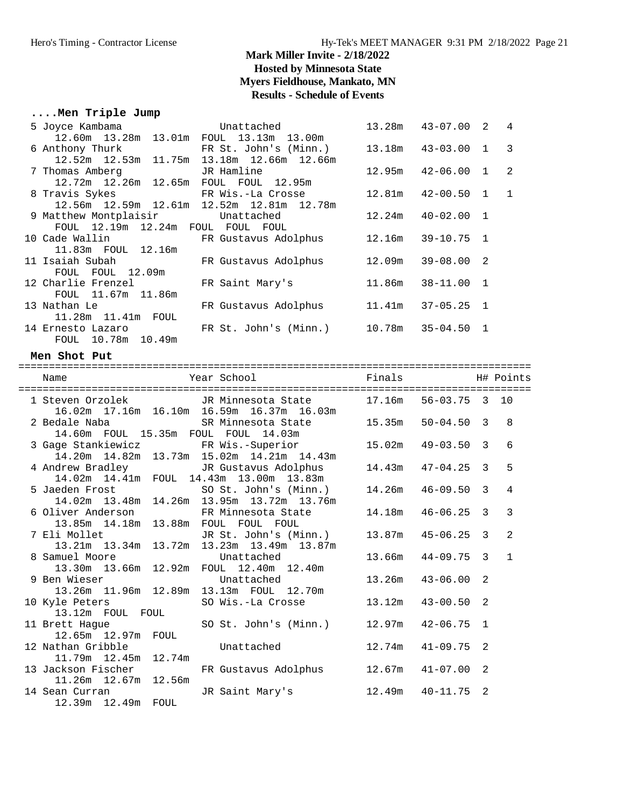## **....Men Triple Jump**

| 5 Joyce Kambama and the state of the state of the state of the state of the state of the state of the state of | Unattached                                                 | 13.28m  43-07.00  2  4  |  |
|----------------------------------------------------------------------------------------------------------------|------------------------------------------------------------|-------------------------|--|
| 12.60m 13.28m 13.01m FOUL 13.13m 13.00m                                                                        |                                                            |                         |  |
| 6 Anthony Thurk FR St. John's (Minn.) 13.18m 43-03.00 1 3                                                      |                                                            |                         |  |
| 12.52m  12.53m  11.75m  13.18m  12.66m  12.66m                                                                 |                                                            |                         |  |
| 7 Thomas Amberg                                                                                                | JR Hamline <b>Sandware Started Started Started Started</b> | $12.95m$ $42-06.00$ 1 2 |  |
| 12.72m  12.26m  12.65m  FOUL  FOUL  12.95m                                                                     |                                                            |                         |  |
| 8 Travis Sykes Travis Sykes Travis Sykes Travis Sykes Travis Sykes Travis Sykes Travis Sykes Sykes S           |                                                            | $12.81m$ $42-00.50$ 1 1 |  |
| 12.56m 12.59m 12.61m 12.52m 12.81m 12.78m                                                                      |                                                            |                         |  |
| 9 Matthew Montplaisir bundunattached                                                                           |                                                            | $12.24m$ $40-02.00$ 1   |  |
| FOUL 12.19m 12.24m FOUL FOUL FOUL                                                                              |                                                            |                         |  |
| 10 Cade Wallin North Barry FR Gustavus Adolphus                                                                |                                                            | 12.16m 39-10.75 1       |  |
| 11.83m FOUL 12.16m                                                                                             |                                                            |                         |  |
| 11 Isaiah Subah               FR Gustavus Adolphus         12.09m     39-08.00   2                             |                                                            |                         |  |
| FOUL FOUL 12.09m                                                                                               |                                                            |                         |  |
| 12 Charlie Frenzel                                                                                             | FR Saint Mary's                                            | 11.86m 38-11.00 1       |  |
| FOUL 11.67m 11.86m                                                                                             |                                                            |                         |  |
| 13 Nathan Le                                                                                                   | FR Gustavus Adolphus                                       | $11.41m$ $37-05.25$ 1   |  |
| 11.28m  11.41m  FOUL                                                                                           |                                                            |                         |  |
| 14 Ernesto Lazaro                                                                                              | FR St. John's (Minn.) 10.78m 35-04.50 1                    |                         |  |
| FOUL 10.78m 10.49m                                                                                             |                                                            |                         |  |

#### **Men Shot Put**

| Name                                 | Year School                                                                                                  | <b>Example 1</b> Finals<br>H# Points |                |                |
|--------------------------------------|--------------------------------------------------------------------------------------------------------------|--------------------------------------|----------------|----------------|
|                                      | 1 Steven Orzolek 6 JR Minnesota State 17.16m 56-03.75 3 10<br>16.02m  17.16m  16.10m  16.59m  16.37m  16.03m |                                      |                |                |
|                                      | 2 Bedale Naba (SR Minnesota State)<br>14.60m FOUL 15.35m FOUL FOUL 14.03m                                    | $15.35m$ $50-04.50$ 3                |                | $\mathsf{R}$   |
|                                      | 3 Gage Stankiewicz FR Wis.-Superior 15.02m 49-03.50 3<br>14.20m  14.82m  13.73m  15.02m  14.21m  14.43m      |                                      |                | 6              |
|                                      | 4 Andrew Bradley TR Gustavus Adolphus 14.43m 47-04.25 3<br>14.02m  14.41m  FOUL  14.43m  13.00m  13.83m      |                                      |                | 5              |
|                                      | 5 Jaeden Frost SO St. John's (Minn.) 14.26m 46-09.50 3<br>14.02m 13.48m 14.26m 13.95m 13.72m 13.76m          |                                      |                | 4              |
|                                      | 6 Oliver Anderson FR Minnesota State 14.18m 46-06.25 3<br>13.85m  14.18m  13.88m  FOUL  FOUL  FOUL           |                                      |                | $\mathcal{E}$  |
|                                      | 7 Eli Mollet JR St. John's (Minn.) 13.87m 45-06.25 3<br>13.21m 13.34m 13.72m 13.23m 13.49m 13.87m            |                                      |                | $\overline{2}$ |
| 8 Samuel Moore                       | Unattached<br>13.30m  13.66m  12.92m  FOUL  12.40m  12.40m                                                   | 13.66m  44-09.75  3                  |                | $\mathbf{1}$   |
| 9 Ben Wieser                         | Unattached<br>13.26m  11.96m  12.89m  13.13m  FOUL  12.70m                                                   | $13.26m$ $43-06.00$ 2                |                |                |
| 13.12m FOUL FOUL                     | 10 Kyle Peters SO Wis.-La Crosse 13.12m 43-00.50                                                             |                                      | 2              |                |
| 12.65m  12.97m  FOUL                 | 11 Brett Hague 50 St. John's (Minn.) 12.97m 42-06.75 1                                                       |                                      |                |                |
|                                      | 12 Nathan Gribble Unattached<br>11.79m 12.45m 12.74m                                                         | $12.74m$ $41-09.75$ 2                |                |                |
| 11.26m 12.67m 12.56m                 | 13 Jackson Fischer FR Gustavus Adolphus 12.67m 41-07.00                                                      |                                      | $\mathfrak{D}$ |                |
| 14 Sean Curran<br>12.39m 12.49m FOUL | JR Saint Mary's 12.49m 40-11.75                                                                              |                                      | 2              |                |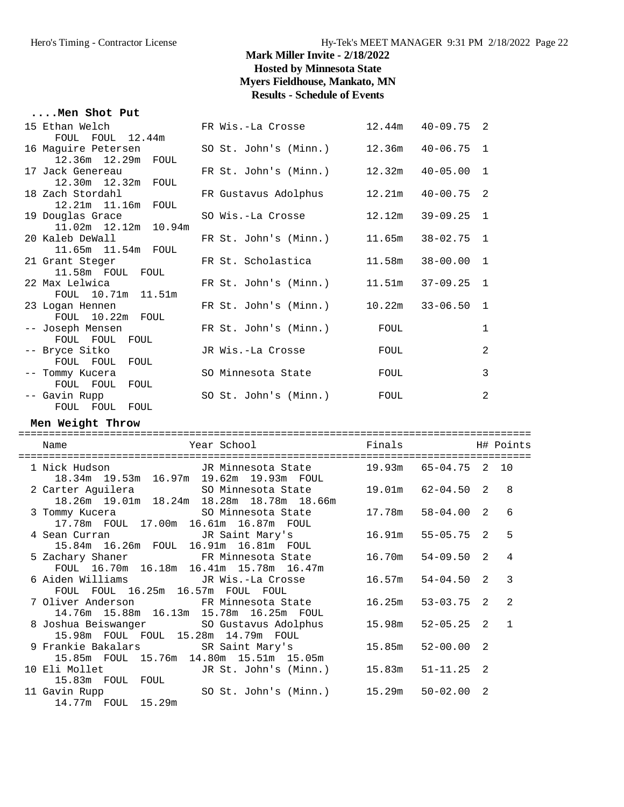#### **....Men Shot Put**

| 15 Ethan Welch<br>FOUL FOUL 12.44m                                | FR Wis.-La Crosse     | 12.44m                | $40 - 09.75$ 2        |                |
|-------------------------------------------------------------------|-----------------------|-----------------------|-----------------------|----------------|
| 16 Maquire Petersen                                               | SO St. John's (Minn.) | $12.36m$ $40-06.75$ 1 |                       |                |
| 12.36m 12.29m FOUL<br>17 Jack Genereau                            | FR St. John's (Minn.) | $12.32m$ $40-05.00$   |                       | $\overline{1}$ |
| 12.30m  12.32m  FOUL<br>18 Zach Stordahl                          | FR Gustavus Adolphus  |                       | $12.21m$ $40-00.75$ 2 |                |
| 12.21m  11.16m  FOUL<br>19 Douglas Grace                          | SO Wis.-La Crosse     | 12.12m                | 39-09.25              | $\overline{1}$ |
| 11.02m  12.12m  10.94m<br>20 Kaleb DeWall<br>11.65m  11.54m  FOUL | FR St. John's (Minn.) | 11.65m                | $38 - 02.75$ 1        |                |
| 21 Grant Steger<br>11.58m FOUL FOUL                               | FR St. Scholastica    | 11.58m                | $38 - 00.00$          | $\overline{1}$ |
| 22 Max Lelwica<br>FOUL 10.71m 11.51m                              | FR St. John's (Minn.) | 11.51m                | $37 - 09.25$ 1        |                |
| 23 Logan Hennen<br>FOUL 10.22m FOUL                               | FR St. John's (Minn.) | $10.22m$ $33-06.50$   |                       | $\mathbf{1}$   |
| -- Joseph Mensen<br>FOUL FOUL FOUL                                | FR St. John's (Minn.) | FOUL                  |                       | $\mathbf{1}$   |
| -- Bryce Sitko<br>FOUL FOUL FOUL                                  | JR Wis.-La Crosse     | FOUL                  |                       | 2              |
| -- Tommy Kucera<br>FOUL FOUL<br>FOUL                              | SO Minnesota State    | FOUL                  |                       | 3              |
| -- Gavin Rupp<br>FOUL FOUL FOUL                                   | SO St. John's (Minn.) | FOUL                  |                       | 2              |

#### **Men Weight Throw**

| ============= |                                                                                                                        |        |                |               |                |
|---------------|------------------------------------------------------------------------------------------------------------------------|--------|----------------|---------------|----------------|
|               | <b>Example 1</b> Finals<br>Year School<br>Name                                                                         |        |                |               | H# Points      |
|               | 1 Nick Hudson           JR Minnesota State       19.93m   65-04.75   2   10<br>18.34m 19.53m 16.97m 19.62m 19.93m FOUL |        |                |               |                |
|               | 2 Carter Aguilera 60 SO Minnesota State<br>18.26m  19.01m  18.24m  18.28m  18.78m  18.66m                              | 19.01m | $62 - 04.50$ 2 |               | 8              |
|               | 3 Tommy Kucera 60 SO Minnesota State<br>17.78m FOUL 17.00m 16.61m 16.87m FOUL                                          | 17.78m | $58 - 04.00$ 2 |               | 6              |
|               | 4 Sean Curran                     JR Saint Mary's<br>15.84m 16.26m FOUL 16.91m 16.81m FOUL                             | 16.91m | 55-05.75 2     |               | 5              |
|               | 5 Zachary Shaner 6 FR Minnesota State<br>FOUL 16.70m 16.18m 16.41m 15.78m 16.47m                                       | 16.70m | 54-09.50 2     |               | $\overline{4}$ |
|               | 6 Aiden Williams             JR Wis.-La Crosse<br>FOUL FOUL 16.25m 16.57m FOUL FOUL                                    | 16.57m | $54 - 04.50$ 2 |               | $\mathcal{R}$  |
|               | 14.76m 15.88m 16.13m 15.78m 16.25m FOUL                                                                                | 16.25m | $53 - 03.75$ 2 |               | $\mathfrak{D}$ |
|               | 8 Joshua Beiswanger            SO Gustavus Adolphus<br>15.98m FOUL FOUL 15.28m 14.79m FOUL                             | 15.98m | 52-05.25 2     |               | $\overline{1}$ |
|               | 9 Frankie Bakalars              SR Saint Mary's<br>15.85m FOUL 15.76m 14.80m 15.51m 15.05m                             | 15.85m | 52-00.00       | $\mathcal{L}$ |                |
|               | JR St. John's (Minn.)<br>10 Eli Mollet<br>15.83m FOUL FOUL                                                             | 15.83m | $51 - 11.25$ 2 |               |                |
|               | SO St. John's (Minn.) 15.29m<br>11 Gavin Rupp<br>14.77m FOUL 15.29m                                                    |        | 50-02.00       | 2             |                |